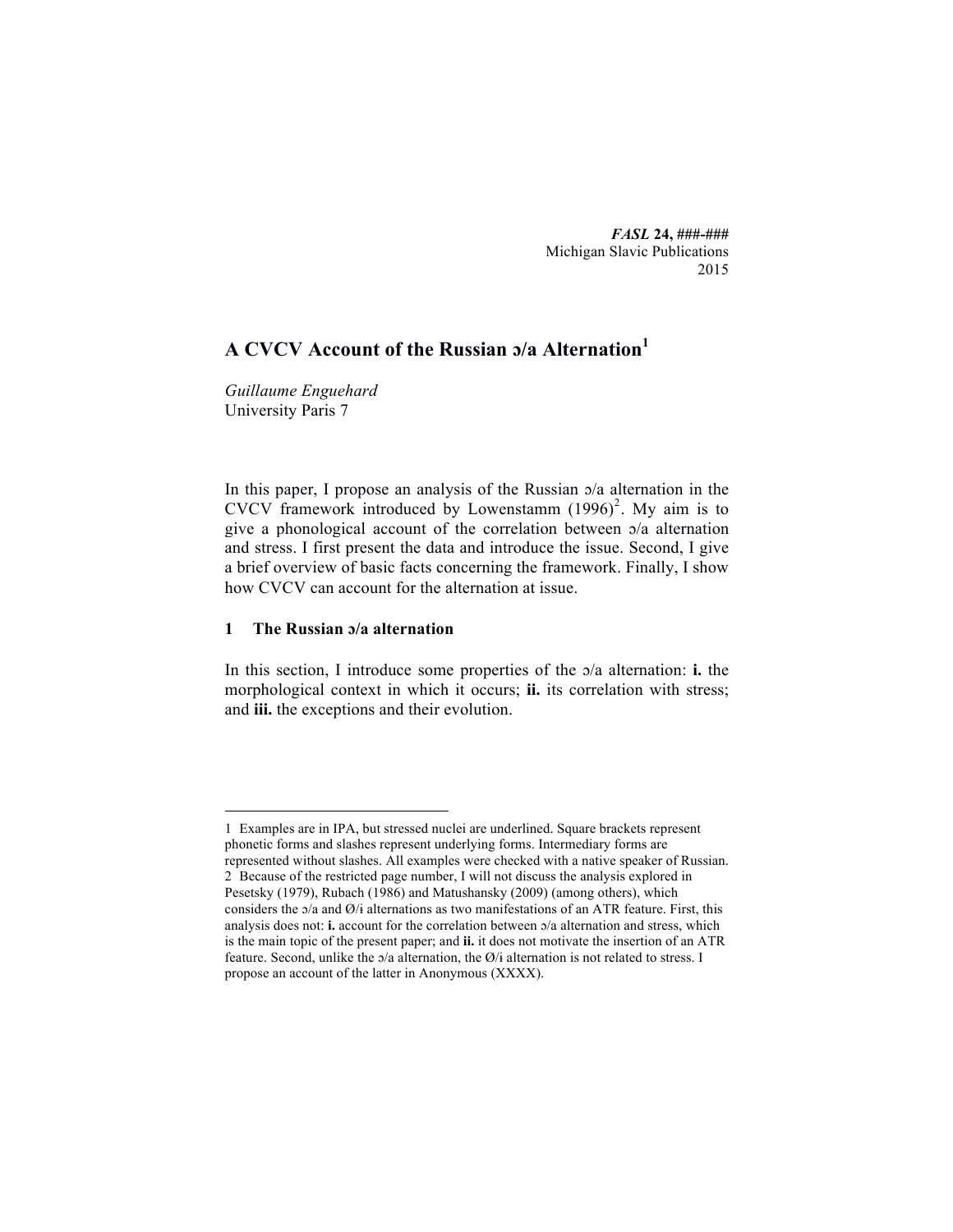*FASL* **24, ###-###** Michigan Slavic Publications 2015

# **A CVCV Account of the Russian ɔ/a Alternation<sup>1</sup>**

*Guillaume Enguehard* University Paris 7

In this paper, I propose an analysis of the Russian ɔ/a alternation in the CVCV framework introduced by Lowenstamm  $(1996)^2$ . My aim is to give a phonological account of the correlation between ɔ/a alternation and stress. I first present the data and introduce the issue. Second, I give a brief overview of basic facts concerning the framework. Finally, I show how CVCV can account for the alternation at issue.

# **1 The Russian ɔ/a alternation**

In this section, I introduce some properties of the ɔ/a alternation: **i.** the morphological context in which it occurs; **ii.** its correlation with stress; and **iii.** the exceptions and their evolution.

 <sup>1</sup> Examples are in IPA, but stressed nuclei are underlined. Square brackets represent phonetic forms and slashes represent underlying forms. Intermediary forms are represented without slashes. All examples were checked with a native speaker of Russian. 2 Because of the restricted page number, I will not discuss the analysis explored in Pesetsky (1979), Rubach (1986) and Matushansky (2009) (among others), which considers the ɔ/a and Ø/ɨ alternations as two manifestations of an ATR feature. First, this analysis does not: **i.** account for the correlation between ɔ/a alternation and stress, which is the main topic of the present paper; and **ii.** it does not motivate the insertion of an ATR feature. Second, unlike the  $\sigma/a$  alternation, the  $\varnothing$ /i alternation is not related to stress. I propose an account of the latter in Anonymous (XXXX).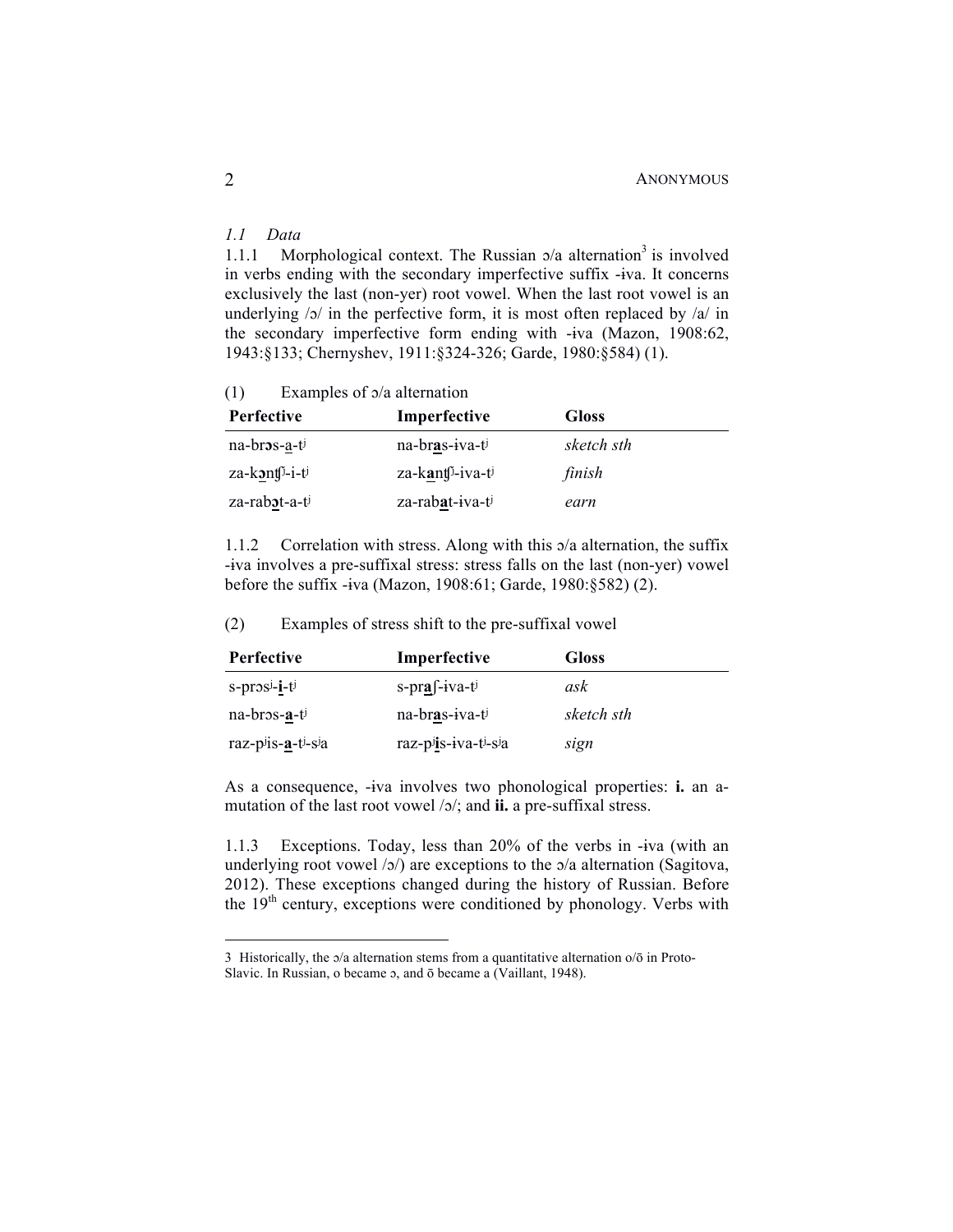# *1.1 Data*

1.1.1 Morphological context. The Russian  $\sigma/a$  alternation<sup>3</sup> is involved in verbs ending with the secondary imperfective suffix -ɨva. It concerns exclusively the last (non-yer) root vowel. When the last root vowel is an underlying  $/5/$  in the perfective form, it is most often replaced by  $/4/$  in the secondary imperfective form ending with -ɨva (Mazon, 1908:62, 1943:§133; Chernyshev, 1911:§324-326; Garde, 1980:§584) (1).

(1) Examples of ɔ/a alternation

| <b>Perfective</b>               | Imperfective                 | <b>Gloss</b> |
|---------------------------------|------------------------------|--------------|
| $na-br3s-a-ti$                  | na-bras-iva-ti               | sketch sth   |
| $z$ a-kont $\mathfrak{h}$ -i-ti | za-kant <sup>j</sup> -iva-ti | finish       |
| za-rabot-a-ti                   | za-rabat-iva-ti              | earn         |

1.1.2 Correlation with stress. Along with this ɔ/a alternation, the suffix -ɨva involves a pre-suffixal stress: stress falls on the last (non-yer) vowel before the suffix -ɨva (Mazon, 1908:61; Garde, 1980:§582) (2).

(2) Examples of stress shift to the pre-suffixal vowel

| <b>Perfective</b>                        | Imperfective       | <b>Gloss</b> |
|------------------------------------------|--------------------|--------------|
| $s$ -pros <sup>j</sup> -i-t <sup>j</sup> | $s-pra f$ -iva-ti  | ask          |
| $na-bros-a-tj$                           | na-bras-iva-ti     | sketch sth   |
| raz-piis- $a$ -ti-sia                    | raz-pis-iva-ti-sia | sign         |

As a consequence, -ɨva involves two phonological properties: **i.** an amutation of the last root vowel /ɔ/; and **ii.** a pre-suffixal stress.

1.1.3 Exceptions. Today, less than 20% of the verbs in -ɨva (with an underlying root vowel /ɔ/) are exceptions to the ɔ/a alternation (Sagitova, 2012). These exceptions changed during the history of Russian. Before the  $19<sup>th</sup>$  century, exceptions were conditioned by phonology. Verbs with

<sup>3</sup> Historically, the  $\alpha/a$  alternation stems from a quantitative alternation  $\alpha/\overline{o}$  in Proto-Slavic. In Russian, o became  $\sigma$ , and  $\bar{\sigma}$  became a (Vaillant, 1948).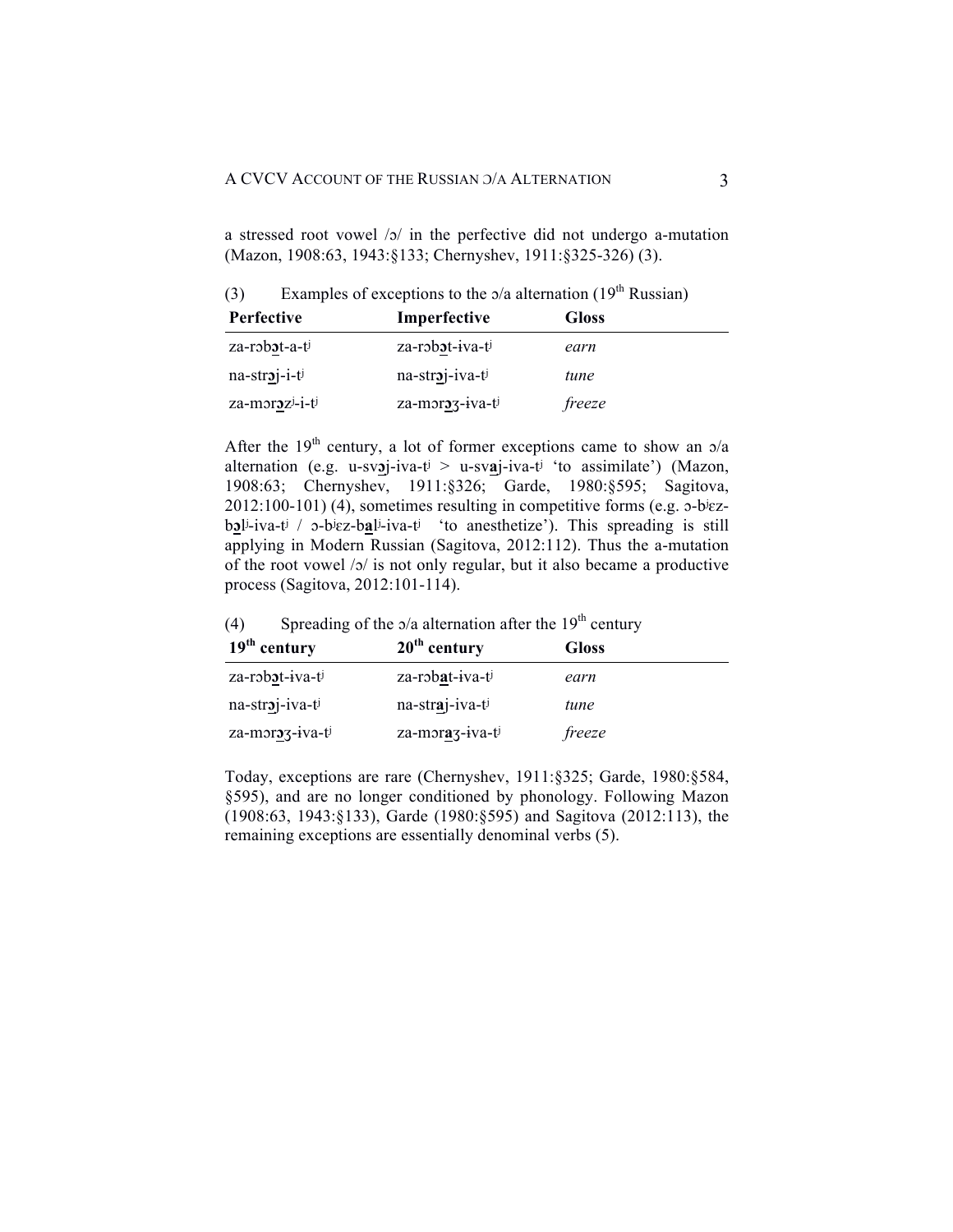a stressed root vowel  $|o|$  in the perfective did not undergo a-mutation (Mazon, 1908:63, 1943:§133; Chernyshev, 1911:§325-326) (3).

(3) Examples of exceptions to the  $\alpha/a$  alternation (19<sup>th</sup> Russian)

| Perfective      | Imperfective    | <b>Gloss</b> |
|-----------------|-----------------|--------------|
| za-robot-a-ti   | za-robot-iva-ti | earn         |
| $na-straj-i-tj$ | na-stroj-iva-ti | tune         |
| za-morozi-i-ti  | za-moroz-iva-ti | freeze       |

After the 19<sup>th</sup> century, a lot of former exceptions came to show an  $\sigma/a$ alternation (e.g. u-sv**ɔ**j-iva-tʲ > u-sv**a**j-iva-tʲ 'to assimilate') (Mazon, 1908:63; Chernyshev, 1911:§326; Garde, 1980:§595; Sagitova, 2012:100-101) (4), sometimes resulting in competitive forms (e.g. ɔ-bʲɛzb**ɔ**lʲ-iva-tʲ / ɔ-bʲɛz-b**а**lʲ-iva-tʲ 'to anesthetize'). This spreading is still applying in Modern Russian (Sagitova, 2012:112). Thus the a-mutation of the root vowel /ɔ/ is not only regular, but it also became a productive process (Sagitova, 2012:101-114).

(4) Spreading of the  $\alpha/a$  alternation after the 19<sup>th</sup> century

| $19th$ century  | $20th$ century  | <b>Gloss</b> |
|-----------------|-----------------|--------------|
| za-robot-iva-ti | za-robat-iva-ti | earn         |
| na-stroj-iva-ti | na-straj-iva-ti | tune         |
| za-moroz-iva-ti | za-moraz-iva-ti | freeze       |

Today, exceptions are rare (Chernyshev, 1911:§325; Garde, 1980:§584, §595), and are no longer conditioned by phonology. Following Mazon (1908:63, 1943:§133), Garde (1980:§595) and Sagitova (2012:113), the remaining exceptions are essentially denominal verbs (5).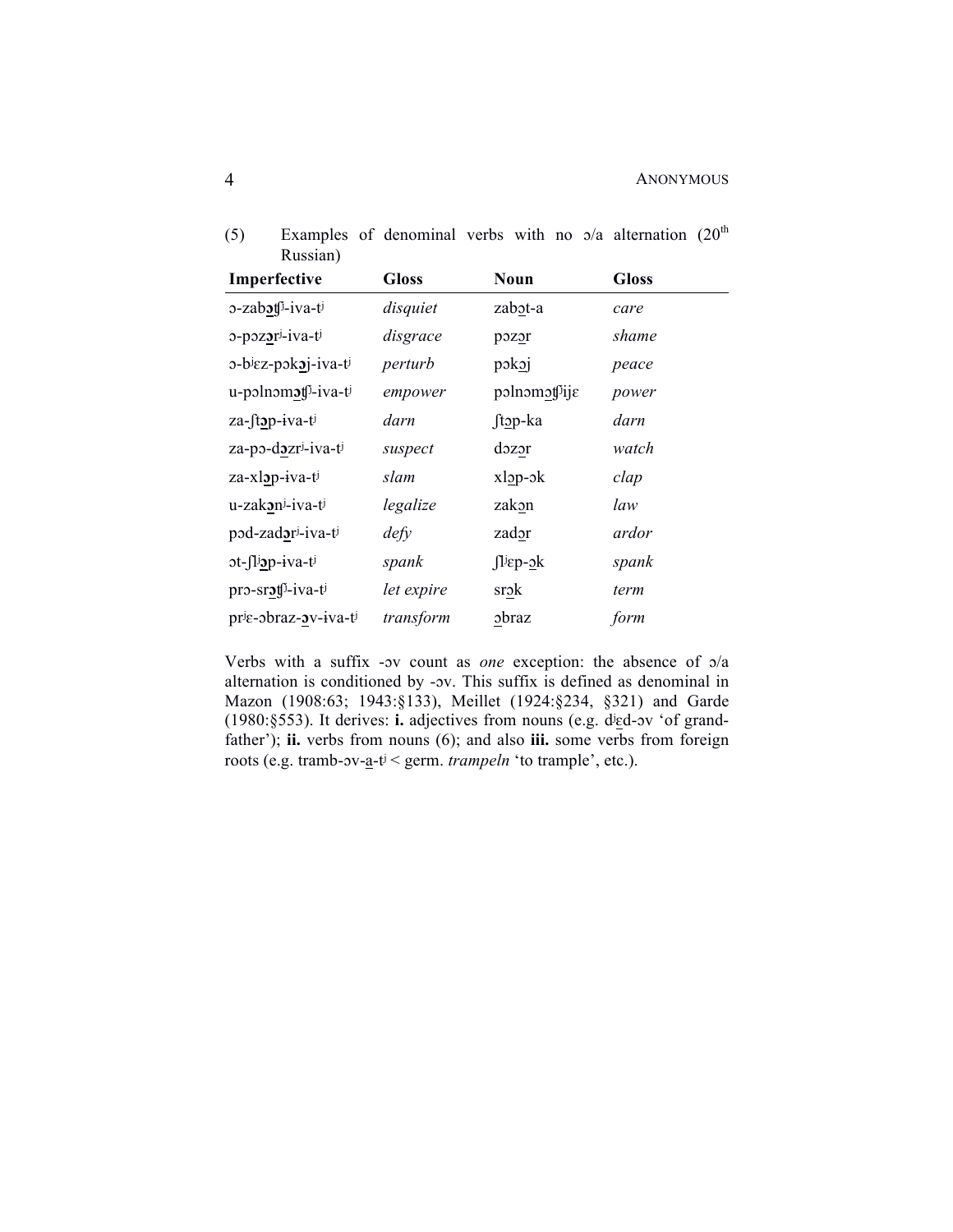| Russian)                         |              |                      |              |
|----------------------------------|--------------|----------------------|--------------|
| Imperfective                     | <b>Gloss</b> | Noun                 | <b>Gloss</b> |
| 3-zabot <sup>5</sup> -iva-ti     | disquiet     | zabot-a              | care         |
| 0-pozori-iva-ti                  | disgrace     | pozor                | shame        |
| ο-biεz-pokoj-iva-ti              | perturb      | pokoj                | peace        |
| u-polnomot <sup>f</sup> i-iva-ti | empower      | polnomotije          | power        |
| za-ftop-iva-ti                   | darn         | ftop-ka              | darn         |
| za-po-dozri-iva-ti               | suspect      | $d$ <sub>220</sub> r | watch        |
| za-xlop-iva-ti                   | slam         | $x \log -\delta k$   | clap         |
| u-zakoni-iva-ti                  | legalize     | zakon                | law          |
| pod-zador <sup>j</sup> -iva-ti   | defy         | zador                | ardor        |
| ot-fliop-iva-ti                  | spank        | $\int$ liep- $2k$    | spank        |
| pro-srot <sup>j</sup> -iva-ti    | let expire   | srok                 | term         |
| prie-obraz-ov-iva-ti             | transform    | obraz                | form         |

(5) Examples of denominal verbs with no  $\alpha/a$  alternation (20<sup>th</sup>) Russian)

Verbs with a suffix -ɔv count as *one* exception: the absence of ɔ/a alternation is conditioned by -ɔv. This suffix is defined as denominal in Mazon (1908:63; 1943:§133), Meillet (1924:§234, §321) and Garde (1980:§553). It derives: **i.** adjectives from nouns (e.g. dʲɛd-ɔv 'of grandfather'); **ii.** verbs from nouns (6); and also **iii.** some verbs from foreign roots (e.g. tramb-ɔv-a-tʲ < germ. *trampeln* 'to trample', etc.).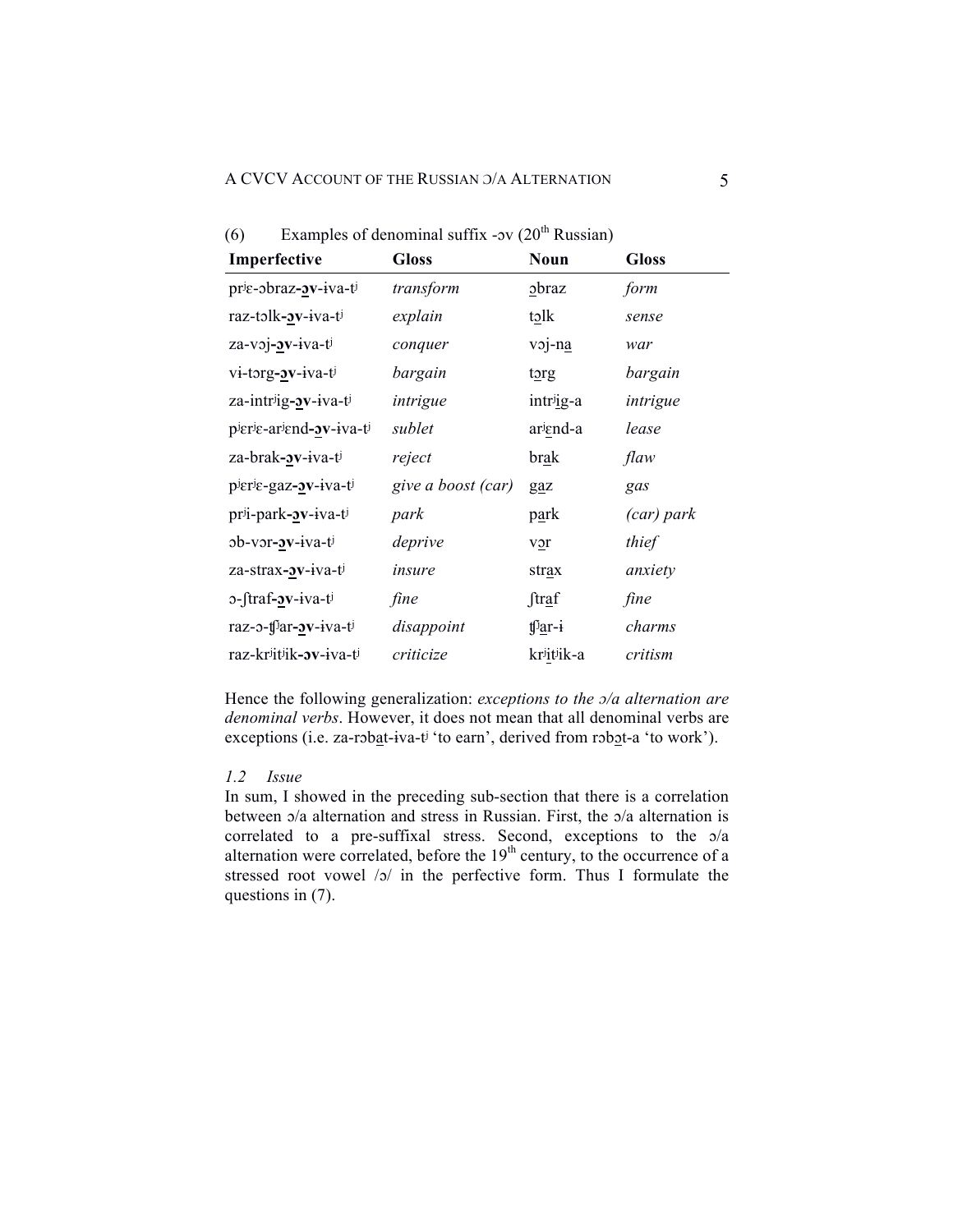| (6) | Examples of denominal suffix - $ov(20^{th}$ Russian) |  |  |  |
|-----|------------------------------------------------------|--|--|--|
|     |                                                      |  |  |  |

| Imperfective                                | <b>Gloss</b>       | Noun                 | <b>Gloss</b> |
|---------------------------------------------|--------------------|----------------------|--------------|
| $pr_{\xi}$ -obraz- $\delta v$ -iva-ti       | transform          | $_{\rm 2}$ braz      | form         |
| raz-tolk- <b>2v</b> -iva-t                  | explain            | tolk                 | sense        |
| za-voj- <b><i>x</i></b> -iva-ti             | conquer            | voj-na               | war          |
| vi-torg- <b>ov</b> -iva-ti                  | bargain            | torg                 | bargain      |
| za-intrig- <b>2v</b> -iva-ti                | intrigue           | intrig-a             | intrigue     |
| pierie-ariend- <b>av</b> -iva-ti            | sublet             | ariend-a             | lease        |
| za-brak- <b><i>x</i></b> -iva-t             | reject             | brak                 | flaw         |
| plerle-gaz- <b><i>x</i></b> -iva-tl         | give a boost (car) | gaz                  | gas          |
| pri-park- <b><i>x</i></b> -iva-ti           | park               | p <u>a</u> rk        | (car) park   |
| $ob-vor-v-iva-t$                            | deprive            | $v_2r$               | thief        |
| za-strax- <b>av</b> -iva-ti                 | insure             | strax                | anxiety      |
| 0-ftraf- <b>ov</b> -iva-t                   | fine               | ftraf                | fine         |
| raz-o-tf <sup>j</sup> ar- <b>ov</b> -iva-tj | disappoint         | tf <sup>j</sup> ar-i | charms       |
| raz-kriitiik- <b><i>sv-iva-ti</i></b>       | criticize          | kriitiik-a           | critism      |

Hence the following generalization: *exceptions to the ɔ/a alternation are denominal verbs*. However, it does not mean that all denominal verbs are exceptions (i.e. za-robat-iva-t<sup>j '</sup>to earn', derived from robot-a 'to work').

### *1.2 Issue*

In sum, I showed in the preceding sub-section that there is a correlation between ɔ/a alternation and stress in Russian. First, the ɔ/a alternation is correlated to a pre-suffixal stress. Second, exceptions to the ɔ/a alternation were correlated, before the  $19<sup>th</sup>$  century, to the occurrence of a stressed root vowel /ɔ/ in the perfective form. Thus I formulate the questions in (7).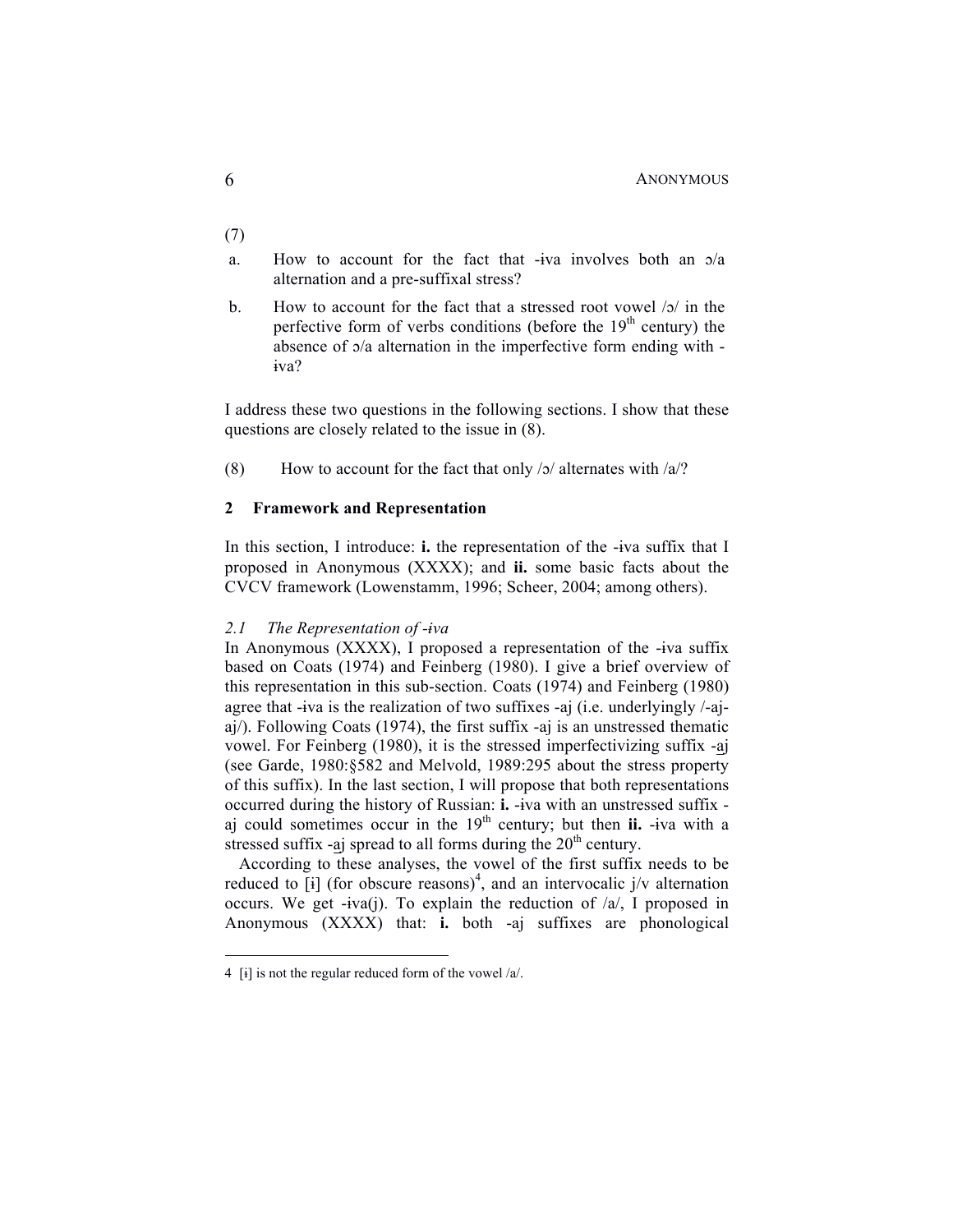- (7)
- a. How to account for the fact that -ɨva involves both an ɔ/a alternation and a pre-suffixal stress?
- b. How to account for the fact that a stressed root vowel /ɔ/ in the perfective form of verbs conditions (before the  $19<sup>th</sup>$  century) the absence of ɔ/a alternation in the imperfective form ending with ɨva?

I address these two questions in the following sections. I show that these questions are closely related to the issue in (8).

(8) How to account for the fact that only  $\frac{1}{2}$  alternates with  $\frac{1}{2}$ ?

## **2 Framework and Representation**

In this section, I introduce: **i.** the representation of the -ɨva suffix that I proposed in Anonymous (XXXX); and **ii.** some basic facts about the CVCV framework (Lowenstamm, 1996; Scheer, 2004; among others).

#### *2.1 The Representation of -ɨva*

In Anonymous (XXXX), I proposed a representation of the -ɨva suffix based on Coats (1974) and Feinberg (1980). I give a brief overview of this representation in this sub-section. Coats (1974) and Feinberg (1980) agree that -ɨva is the realization of two suffixes -aj (i.e. underlyingly /-ajaj/). Following Coats (1974), the first suffix -aj is an unstressed thematic vowel. For Feinberg (1980), it is the stressed imperfectivizing suffix -aj (see Garde, 1980:§582 and Melvold, 1989:295 about the stress property of this suffix). In the last section, I will propose that both representations occurred during the history of Russian: **i.** -ɨva with an unstressed suffix aj could sometimes occur in the  $19<sup>th</sup>$  century; but then **ii.** -iva with a stressed suffix -aj spread to all forms during the  $20<sup>th</sup>$  century.

According to these analyses, the vowel of the first suffix needs to be reduced to [i] (for obscure reasons)<sup>4</sup>, and an intervocalic  $j/v$  alternation occurs. We get  $-iva(i)$ . To explain the reduction of  $a/\sqrt{a}$ , I proposed in Anonymous (XXXX) that: **i.** both -aj suffixes are phonological

 <sup>4</sup> [ɨ] is not the regular reduced form of the vowel /a/.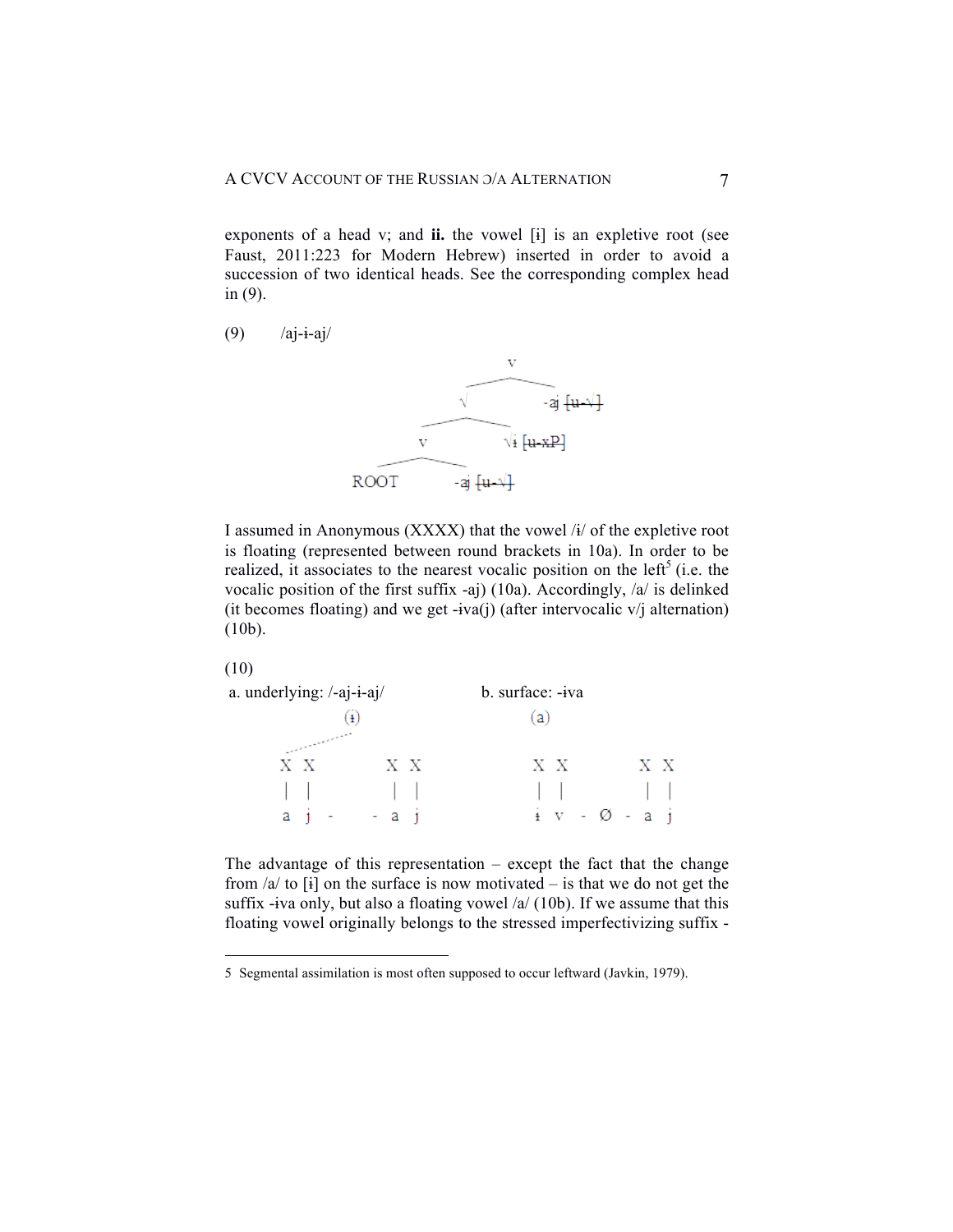exponents of a head v; and **ii.** the vowel [ɨ] is an expletive root (see Faust, 2011:223 for Modern Hebrew) inserted in order to avoid a succession of two identical heads. See the corresponding complex head in (9).

$$
(9) \qquad \text{/aj-i-aj/}
$$



I assumed in Anonymous (XXXX) that the vowel /ɨ/ of the expletive root is floating (represented between round brackets in 10a). In order to be realized, it associates to the nearest vocalic position on the left<sup>5</sup> (i.e. the vocalic position of the first suffix -aj) (10a). Accordingly, /a/ is delinked (it becomes floating) and we get -iva(j) (after intervocalic  $v$ ) alternation) (10b).



| a. underlying: /-aj-i-aj/ |                                             | b. surface: -iva          |    |  |  |  |  |
|---------------------------|---------------------------------------------|---------------------------|----|--|--|--|--|
|                           | $\left( \frac{1}{2} \right)$                | (a)                       |    |  |  |  |  |
| XX                        | XX                                          | XX                        | XX |  |  |  |  |
|                           |                                             |                           |    |  |  |  |  |
|                           | $a \quad i \quad - \quad - \quad a \quad i$ | $\frac{1}{2}$ v - Ø - a j |    |  |  |  |  |

The advantage of this representation  $-$  except the fact that the change from  $a/d$  to  $[i]$  on the surface is now motivated – is that we do not get the suffix -iva only, but also a floating vowel  $\alpha$  (10b). If we assume that this floating vowel originally belongs to the stressed imperfectivizing suffix -

 <sup>5</sup> Segmental assimilation is most often supposed to occur leftward (Javkin, 1979).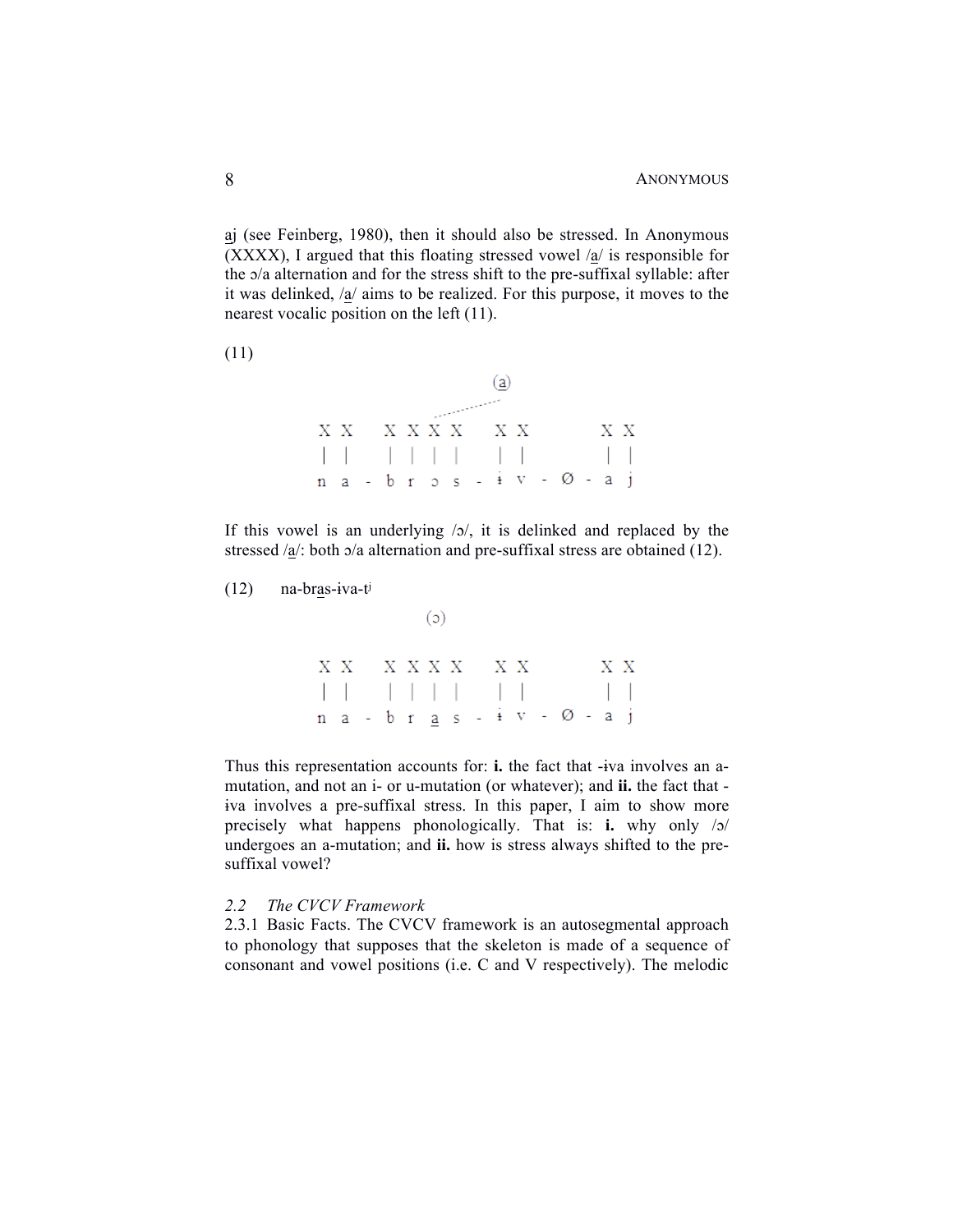aj (see Feinberg, 1980), then it should also be stressed. In Anonymous (XXXX), I argued that this floating stressed vowel /a/ is responsible for the ɔ/a alternation and for the stress shift to the pre-suffixal syllable: after it was delinked, /a/ aims to be realized. For this purpose, it moves to the nearest vocalic position on the left (11).

(11)

|                                 |  |  |          | (a) |  |  |     |
|---------------------------------|--|--|----------|-----|--|--|-----|
|                                 |  |  | المتعمول |     |  |  |     |
| XX XXXX XX                      |  |  |          |     |  |  | X X |
|                                 |  |  |          |     |  |  |     |
| $n a - b r$ $s - i v - 0 - a i$ |  |  |          |     |  |  |     |

If this vowel is an underlying  $\sqrt{2}$ , it is delinked and replaced by the stressed  $a/$ : both  $a/a$  alternation and pre-suffixal stress are obtained (12).

(12) na-bras-ɨva-tʲ

 $\begin{array}{cccccccccc} \mathbf{X} & \mathbf{X} & & \mathbf{X} & \mathbf{X} & \mathbf{X} & \mathbf{X} & & \mathbf{X} & \mathbf{X} & & \mathbf{X} & \mathbf{X} & & \mathbf{X} & \mathbf{X} \end{array}$  $\begin{array}{cccccccccccccccccc} | & | & | & | & | & | & | & | & | & | & | & | & | & | & | \\ n & a & - & b & r & \underline{a} & s & - & \underline{i} & v & - & \varnothing & - & a & j \\ \end{array}$ 

 $(c)$ 

Thus this representation accounts for: **i.** the fact that -ɨva involves an amutation, and not an i- or u-mutation (or whatever); and **ii.** the fact that ɨva involves a pre-suffixal stress. In this paper, I aim to show more precisely what happens phonologically. That is: **i.** why only /ɔ/ undergoes an a-mutation; and **ii.** how is stress always shifted to the presuffixal vowel?

#### *2.2 The CVCV Framework*

2.3.1 Basic Facts. The CVCV framework is an autosegmental approach to phonology that supposes that the skeleton is made of a sequence of consonant and vowel positions (i.e. C and V respectively). The melodic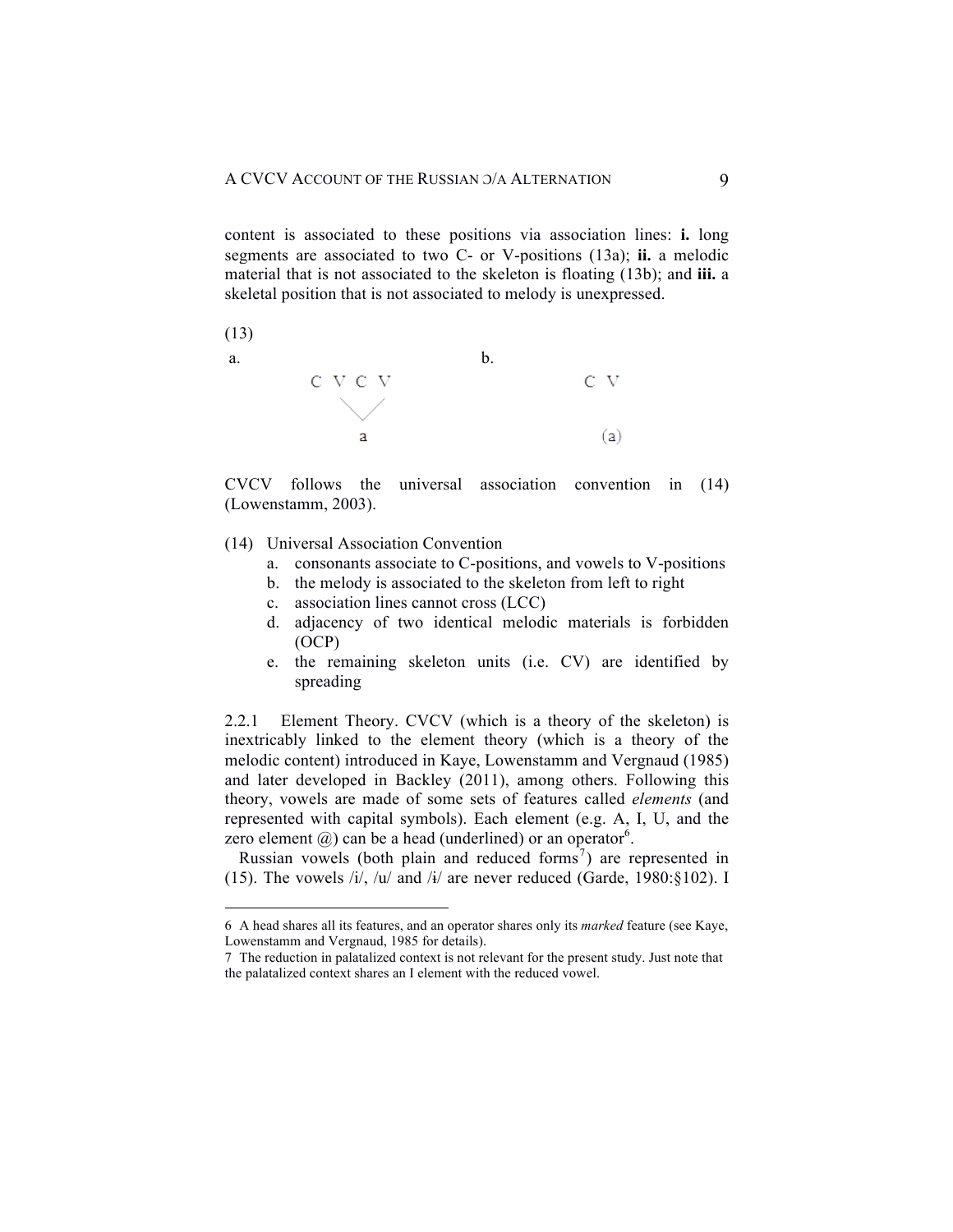content is associated to these positions via association lines: **i.** long segments are associated to two C- or V-positions (13a); **ii.** a melodic material that is not associated to the skeleton is floating (13b); and **iii.** a skeletal position that is not associated to melody is unexpressed.



CVCV follows the universal association convention in (14) (Lowenstamm, 2003).

- (14) Universal Association Convention
	- a. consonants associate to C-positions, and vowels to V-positions
	- b. the melody is associated to the skeleton from left to right
	- c. association lines cannot cross (LCC)
	- d. adjacency of two identical melodic materials is forbidden (OCP)
	- e. the remaining skeleton units (i.e. CV) are identified by spreading

2.2.1 Element Theory. CVCV (which is a theory of the skeleton) is inextricably linked to the element theory (which is a theory of the melodic content) introduced in Kaye, Lowenstamm and Vergnaud (1985) and later developed in Backley (2011), among others. Following this theory, vowels are made of some sets of features called *elements* (and represented with capital symbols). Each element (e.g. A, I, U, and the zero element  $(a)$  can be a head (underlined) or an operator<sup>6</sup>.

Russian vowels (both plain and reduced forms<sup>7</sup>) are represented in (15). The vowels  $\frac{i}{\sqrt{2}}$ ,  $\frac{i}{\sqrt{2}}$  and  $\frac{i}{\sqrt{2}}$  are never reduced (Garde, 1980:§102). I

 <sup>6</sup> A head shares all its features, and an operator shares only its *marked* feature (see Kaye, Lowenstamm and Vergnaud, 1985 for details).

<sup>7</sup> The reduction in palatalized context is not relevant for the present study. Just note that the palatalized context shares an I element with the reduced vowel.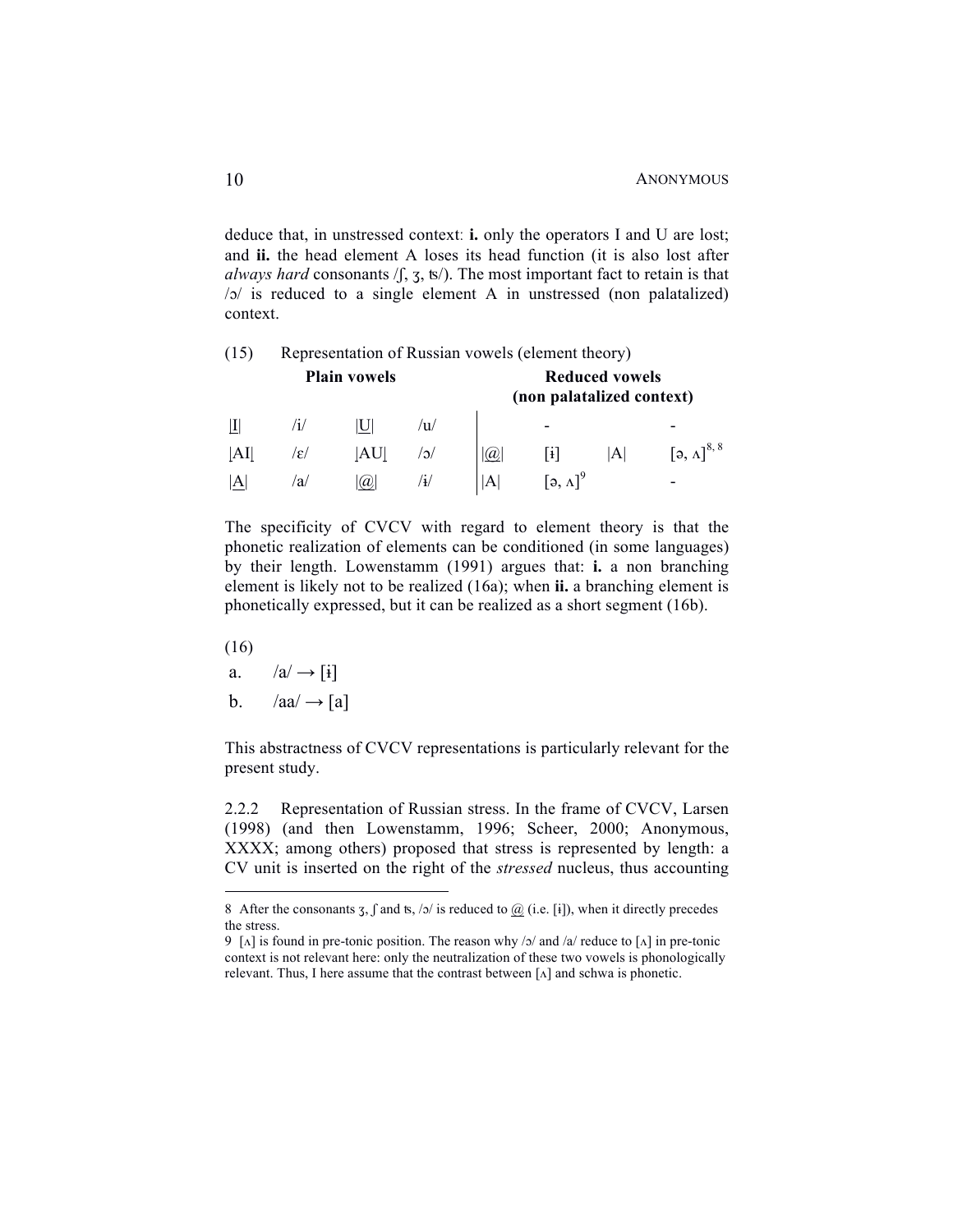deduce that, in unstressed contextː **i.** only the operators I and U are lost; and **ii.** the head element A loses its head function (it is also lost after *always hard* consonants  $\langle \int$ ,  $\frac{\pi}{3}$ ,  $\frac{\pi}{2}$ . The most important fact to retain is that /ɔ/ is reduced to a single element A in unstressed (non palatalized) context.

| (15) |  |  |  |  | Representation of Russian vowels (element theory) |  |
|------|--|--|--|--|---------------------------------------------------|--|
|------|--|--|--|--|---------------------------------------------------|--|

| <b>Plain vowels</b> |     |     |     |              | <b>Reduced vowels</b><br>(non palatalized context)                 |   |                                              |  |  |
|---------------------|-----|-----|-----|--------------|--------------------------------------------------------------------|---|----------------------------------------------|--|--|
|                     |     |     | ′u∕ |              | -                                                                  |   | -                                            |  |  |
| AI                  | /ε/ | AU  | /ാ/ | $ 0 \rangle$ |                                                                    | A | $\left[ \mathfrak{d}, \Lambda \right]^{8,8}$ |  |  |
| A                   | /a/ | (a) | /∔/ | ΙA           | $\left[\begin{smallmatrix} 2 & \Lambda \end{smallmatrix}\right]^9$ |   | -                                            |  |  |

The specificity of CVCV with regard to element theory is that the phonetic realization of elements can be conditioned (in some languages) by their length. Lowenstamm (1991) argues that: **i.** a non branching element is likely not to be realized (16a); when **ii.** a branching element is phonetically expressed, but it can be realized as a short segment (16b).

(16)

- a.  $/a/ \rightarrow [i]$
- b.  $/aa/ \rightarrow [a]$

This abstractness of CVCV representations is particularly relevant for the present study.

2.2.2 Representation of Russian stress. In the frame of CVCV, Larsen (1998) (and then Lowenstamm, 1996; Scheer, 2000; Anonymous, XXXX; among others) proposed that stress is represented by length: a CV unit is inserted on the right of the *stressed* nucleus, thus accounting

<sup>8</sup> After the consonants  $\overline{3}$ ,  $\int$  and ts,  $\frac{\pi}{3}$  is reduced to  $\overline{a}$  (i.e. [i]), when it directly precedes the stress.

<sup>9 [</sup> $\Lambda$ ] is found in pre-tonic position. The reason why /ɔ/ and /a/ reduce to [ $\Lambda$ ] in pre-tonic context is not relevant here: only the neutralization of these two vowels is phonologically relevant. Thus, I here assume that the contrast between [ʌ] and schwa is phonetic.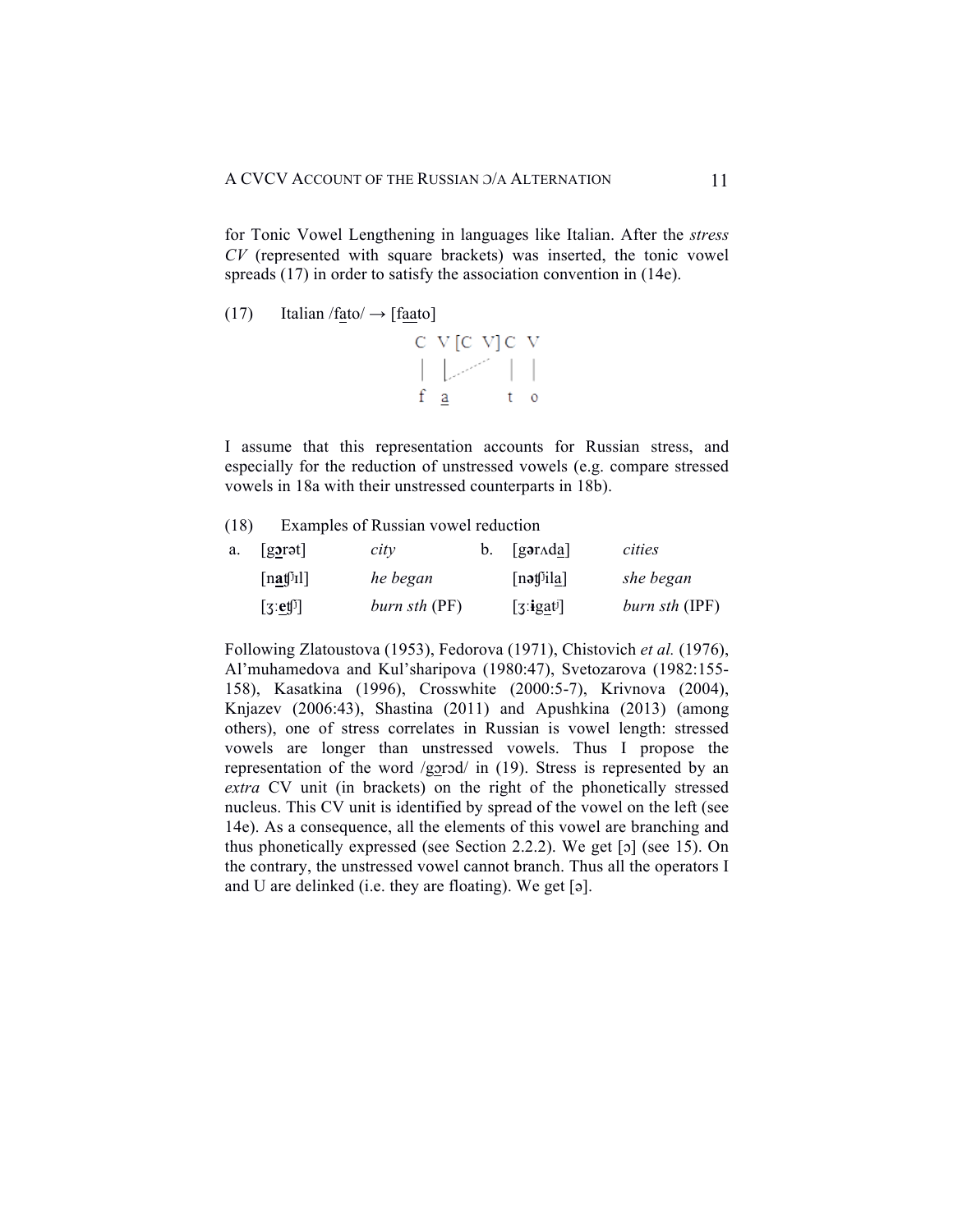for Tonic Vowel Lengthening in languages like Italian. After the *stress CV* (represented with square brackets) was inserted, the tonic vowel spreads (17) in order to satisfy the association convention in (14e).

(17) Italian /
$$
f_{\text{ato}} \rightarrow
$$
 [ $f_{\text{aato}}$ ]



I assume that this representation accounts for Russian stress, and especially for the reduction of unstressed vowels (e.g. compare stressed vowels in 18a with their unstressed counterparts in 18b).

(18) Examples of Russian vowel reduction

| a. | $\sqrt{g\text{arat}}$                                        | city          | $\mathbf{b}$ . [gar $\Lambda$ da] | cities         |
|----|--------------------------------------------------------------|---------------|-----------------------------------|----------------|
|    | $[n\underline{\mathbf{a}}\mathbf{f}^{\mathsf{T}}\mathbf{I}]$ | he began      | [nət $\beta$ ila]                 | she began      |
|    | $[3:$ et $\emptyset]$                                        | burn sth (PF) | [3:igat]                          | burn sth (IPF) |

Following Zlatoustova (1953), Fedorova (1971), Chistovich *et al.* (1976), Al'muhamedova and Kul'sharipova (1980:47), Svetozarova (1982:155- 158), Kasatkina (1996), Crosswhite (2000:5-7), Krivnova (2004), Knjazev (2006:43), Shastina (2011) and Apushkina (2013) (among others), one of stress correlates in Russian is vowel length: stressed vowels are longer than unstressed vowels. Thus I propose the representation of the word /gɔrɔd/ in (19). Stress is represented by an *extra* CV unit (in brackets) on the right of the phonetically stressed nucleus. This CV unit is identified by spread of the vowel on the left (see 14e). As a consequence, all the elements of this vowel are branching and thus phonetically expressed (see Section 2.2.2). We get [ɔ] (see 15). On the contrary, the unstressed vowel cannot branch. Thus all the operators I and U are delinked (i.e. they are floating). We get [ə].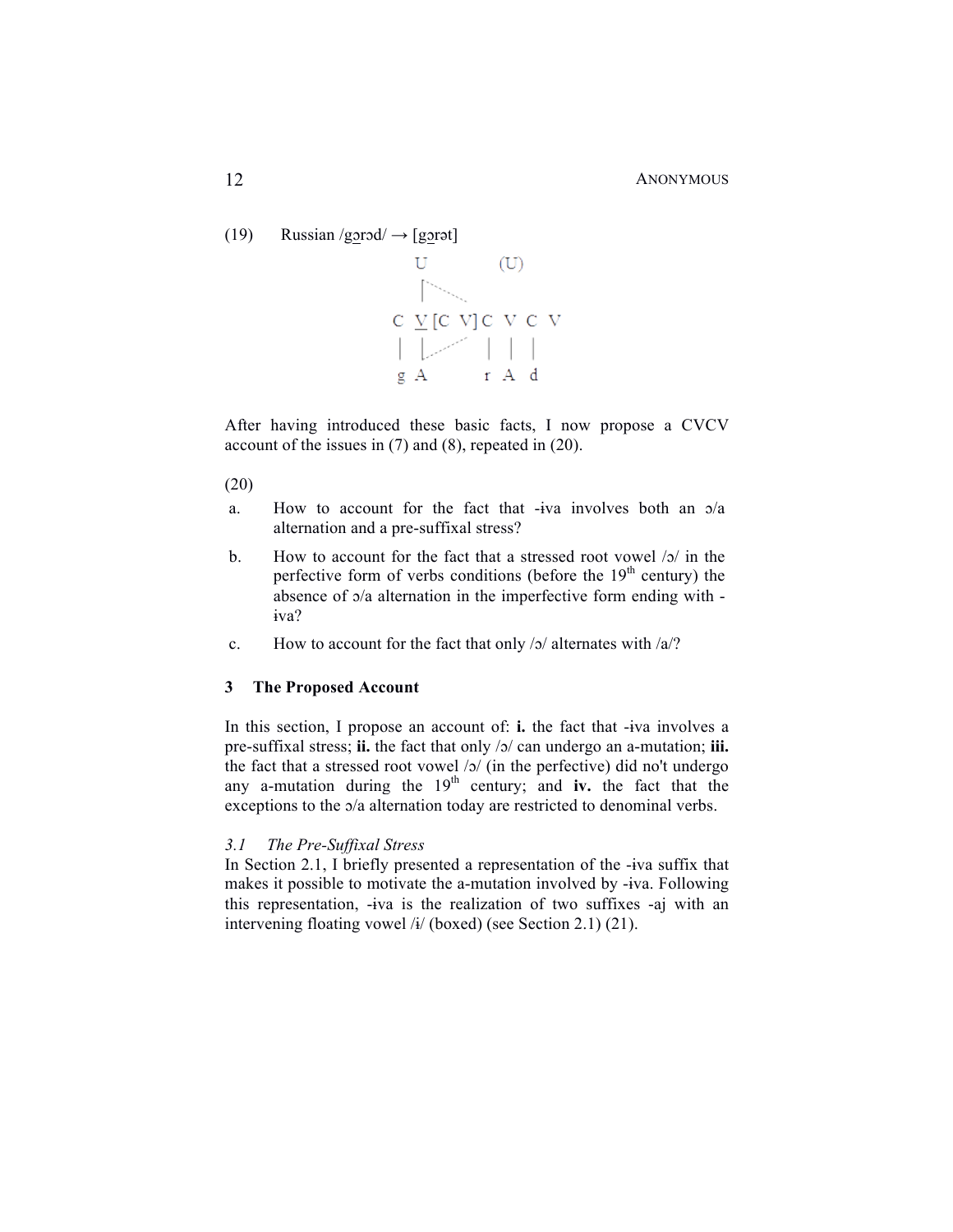(19) Russian /gorod/  $\rightarrow$  [gorot]



After having introduced these basic facts, I now propose a CVCV account of the issues in (7) and (8), repeated in (20).

(20)

- a. How to account for the fact that -ɨva involves both an ɔ/a alternation and a pre-suffixal stress?
- b. How to account for the fact that a stressed root vowel /ɔ/ in the perfective form of verbs conditions (before the  $19<sup>th</sup>$  century) the absence of ɔ/a alternation in the imperfective form ending with ɨva?
- c. How to account for the fact that only  $/2$  alternates with  $/a$ .

## **3 The Proposed Account**

In this section, I propose an account of: **i.** the fact that -ɨva involves a pre-suffixal stress; **ii.** the fact that only /ɔ/ can undergo an a-mutation; **iii.** the fact that a stressed root vowel  $\sqrt{2}$  (in the perfective) did no't undergo any a-mutation during the  $19<sup>th</sup>$  century; and **iv.** the fact that the exceptions to the ɔ/a alternation today are restricted to denominal verbs.

## *3.1 The Pre-Suffixal Stress*

In Section 2.1, I briefly presented a representation of the -ɨva suffix that makes it possible to motivate the a-mutation involved by -ɨva. Following this representation, -ɨva is the realization of two suffixes -aj with an intervening floating vowel /ɨ/ (boxed) (see Section 2.1) (21).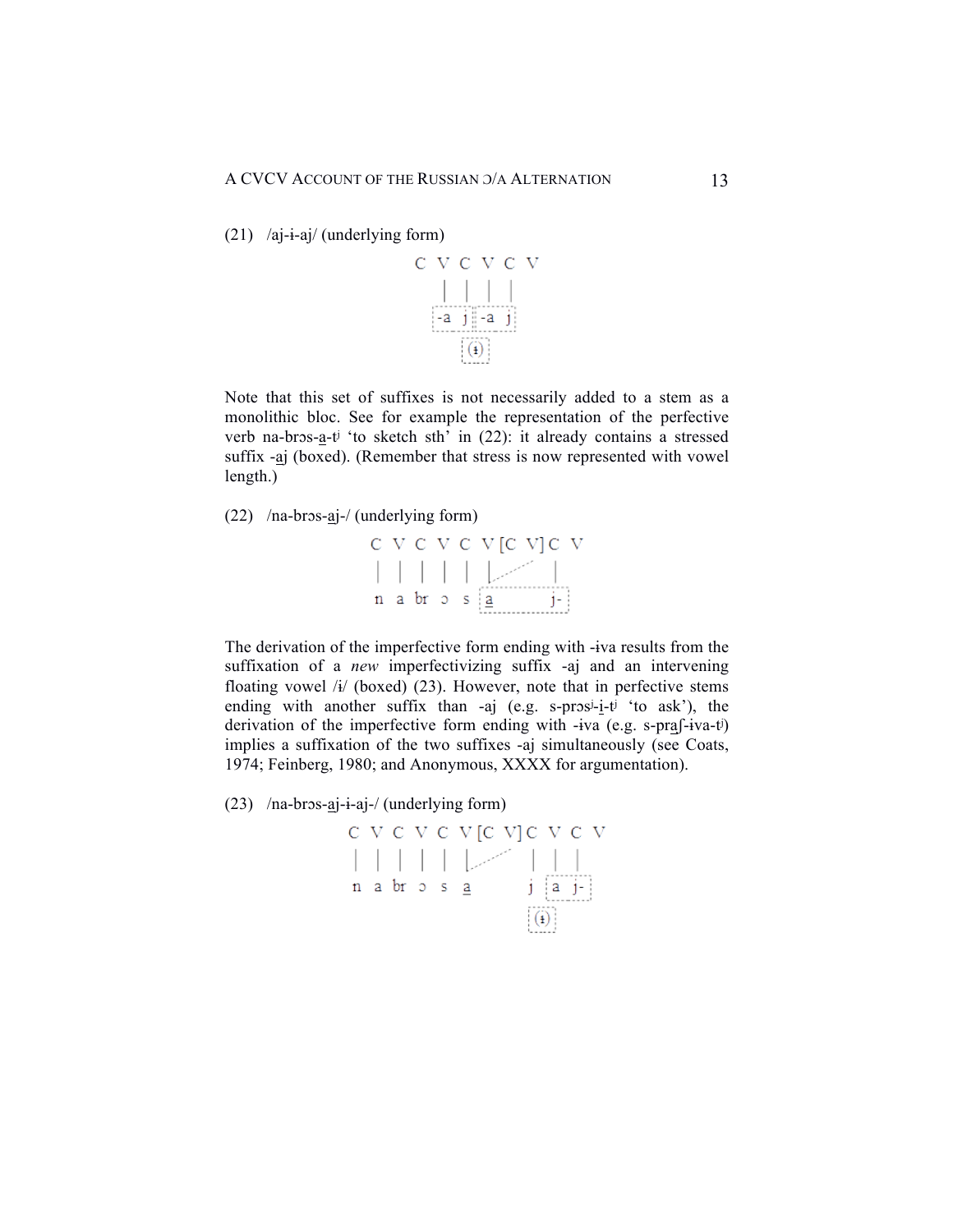(21) /aj-ɨ-aj/ (underlying form)



Note that this set of suffixes is not necessarily added to a stem as a monolithic bloc. See for example the representation of the perfective verb na-brɔs-a-tʲ 'to sketch sth' in (22): it already contains a stressed suffix -aj (boxed). (Remember that stress is now represented with vowel length.)

(22) /na-brɔs-aj-/ (underlying form)



The derivation of the imperfective form ending with -ɨva results from the suffixation of a *new* imperfectivizing suffix -aj and an intervening floating vowel  $\frac{1}{4}$  (boxed) (23). However, note that in perfective stems ending with another suffix than -aj (e.g. s-pros<sup>j</sup>-i-t<sup>j 'to</sup> ask'), the derivation of the imperfective form ending with -ɨva (e.g. s-praʃ-ɨva-tʲ) implies a suffixation of the two suffixes -aj simultaneously (see Coats, 1974; Feinberg, 1980; and Anonymous, XXXX for argumentation).

(23) /na-brɔs-aj-ɨ-aj-/ (underlying form)

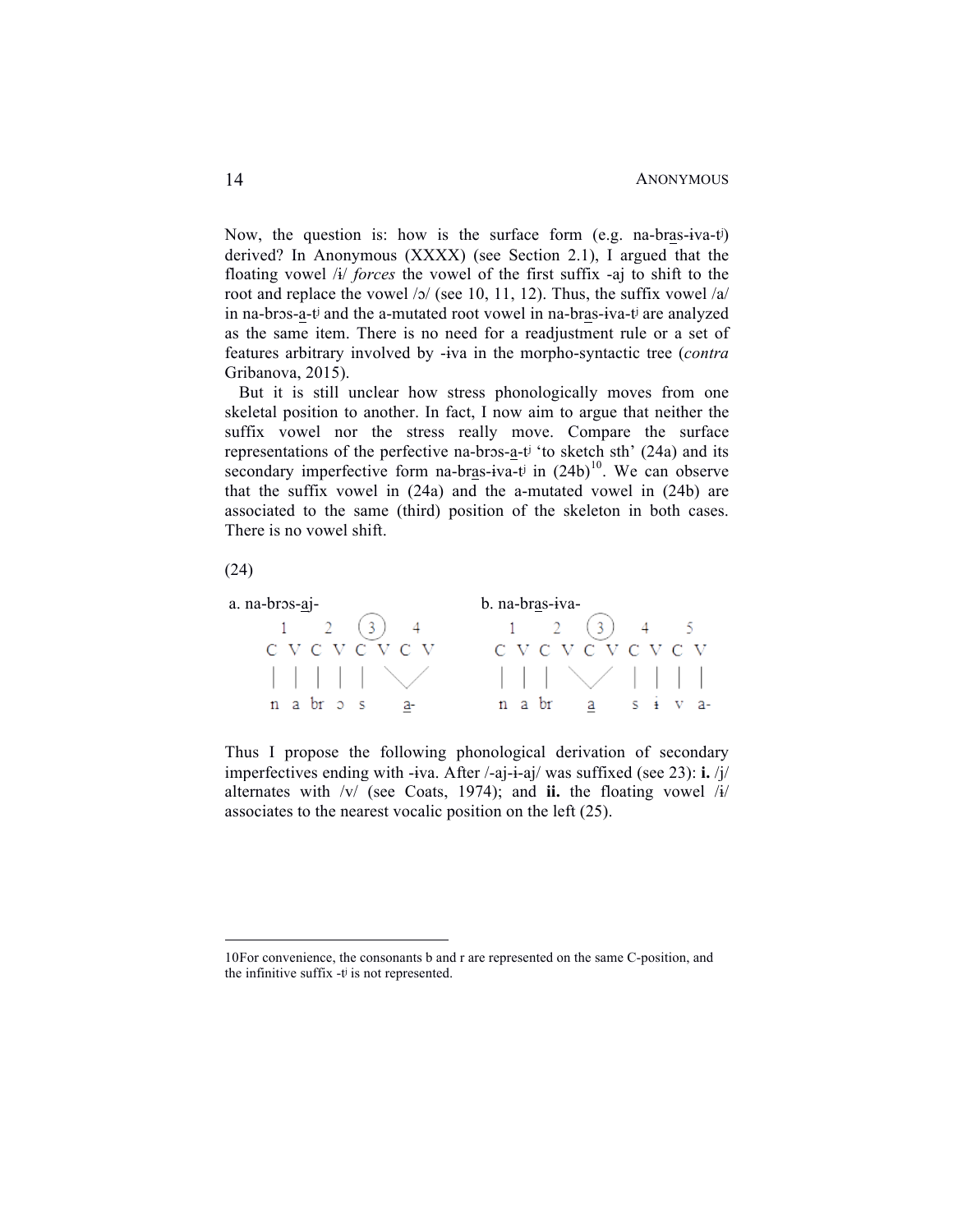Now, the question is: how is the surface form (e.g. na-bras-ɨva-tʲ) derived? In Anonymous (XXXX) (see Section 2.1), I argued that the floating vowel /ɨ/ *forces* the vowel of the first suffix -aj to shift to the root and replace the vowel /ɔ/ (see 10, 11, 12). Thus, the suffix vowel /a/ in na-brɔs-a-tʲ and the a-mutated root vowel in na-bras-ɨva-tʲ are analyzed as the same item. There is no need for a readjustment rule or a set of features arbitrary involved by -ɨva in the morpho-syntactic tree (*contra* Gribanova, 2015).

But it is still unclear how stress phonologically moves from one skeletal position to another. In fact, I now aim to argue that neither the suffix vowel nor the stress really move. Compare the surface representations of the perfective na-brɔs-a-tʲ 'to sketch sth' (24a) and its secondary imperfective form na-bras-iva-t<sup>j</sup> in  $(24b)^{10}$ . We can observe that the suffix vowel in (24a) and the a-mutated vowel in (24b) are associated to the same (third) position of the skeleton in both cases. There is no vowel shift.

(24)



Thus I propose the following phonological derivation of secondary imperfectives ending with -ɨva. After /-aj-ɨ-aj/ was suffixed (see 23): **i.** /j/ alternates with /v/ (see Coats, 1974); and **ii.** the floating vowel /ɨ/ associates to the nearest vocalic position on the left (25).

 <sup>10</sup>For convenience, the consonants b and r are represented on the same C-position, and the infinitive suffix -tʲ is not represented.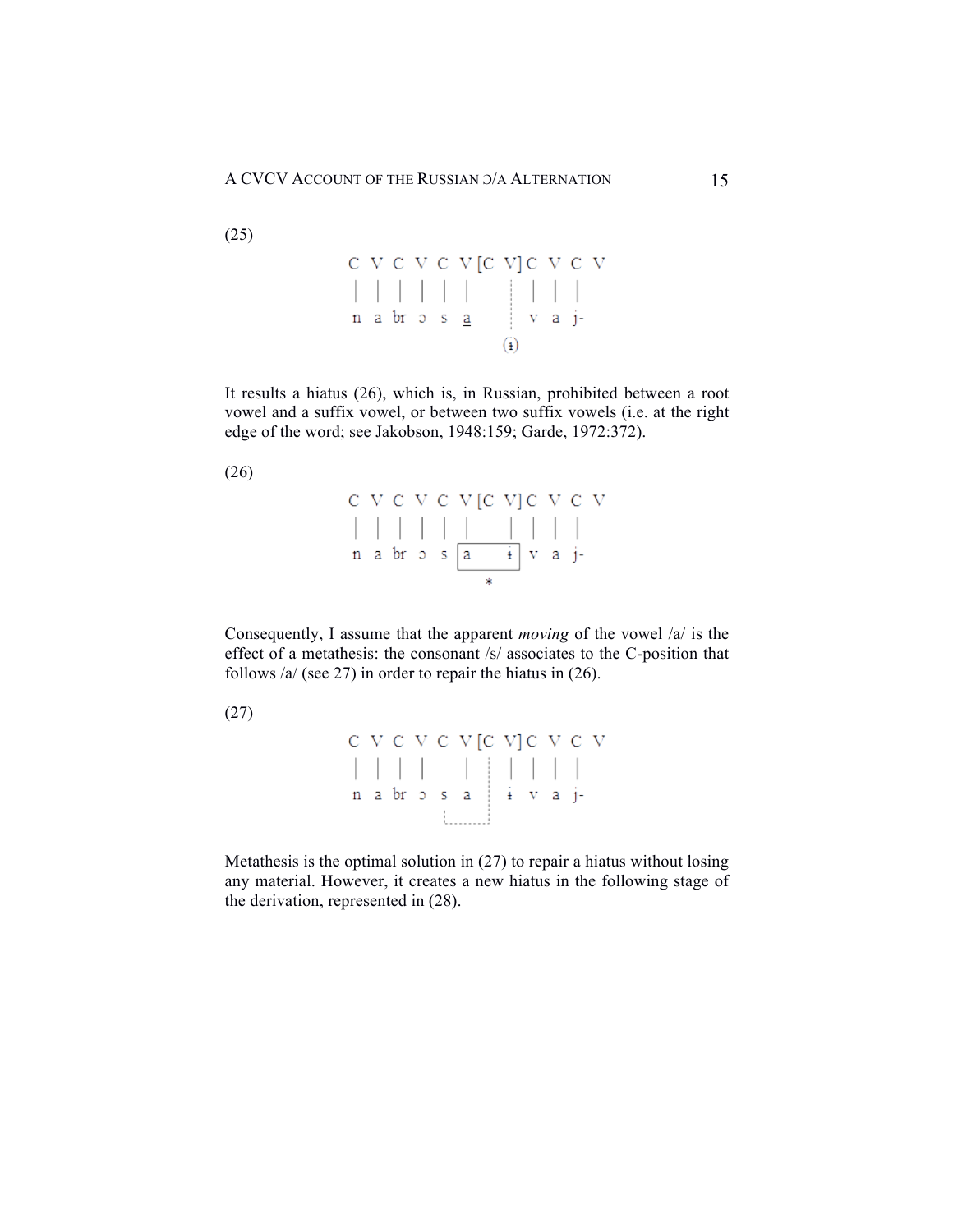It results a hiatus (26), which is, in Russian, prohibited between a root vowel and a suffix vowel, or between two suffix vowels (i.e. at the right edge of the word; see Jakobson, 1948:159; Garde, 1972:372).

(26)

|  |  | C V C V C V C V C V C V                                                                                                                                                                        |  |  |  |
|--|--|------------------------------------------------------------------------------------------------------------------------------------------------------------------------------------------------|--|--|--|
|  |  |                                                                                                                                                                                                |  |  |  |
|  |  | $\begin{array}{ccc} n & a & br & o & s & a & i \\ \end{array} \begin{array}{ccc} \end{array} \begin{array}{ccc} \text{a} & & i \\ \end{array} \begin{array}{ccc} \text{v} & a & j \end{array}$ |  |  |  |
|  |  |                                                                                                                                                                                                |  |  |  |

Consequently, I assume that the apparent *moving* of the vowel /a/ is the effect of a metathesis: the consonant /s/ associates to the C-position that follows /a/ (see 27) in order to repair the hiatus in (26).

(27)

 $C V C V C V [C V] C V C V$ 

Metathesis is the optimal solution in (27) to repair a hiatus without losing any material. However, it creates a new hiatus in the following stage of the derivation, represented in (28).

(25)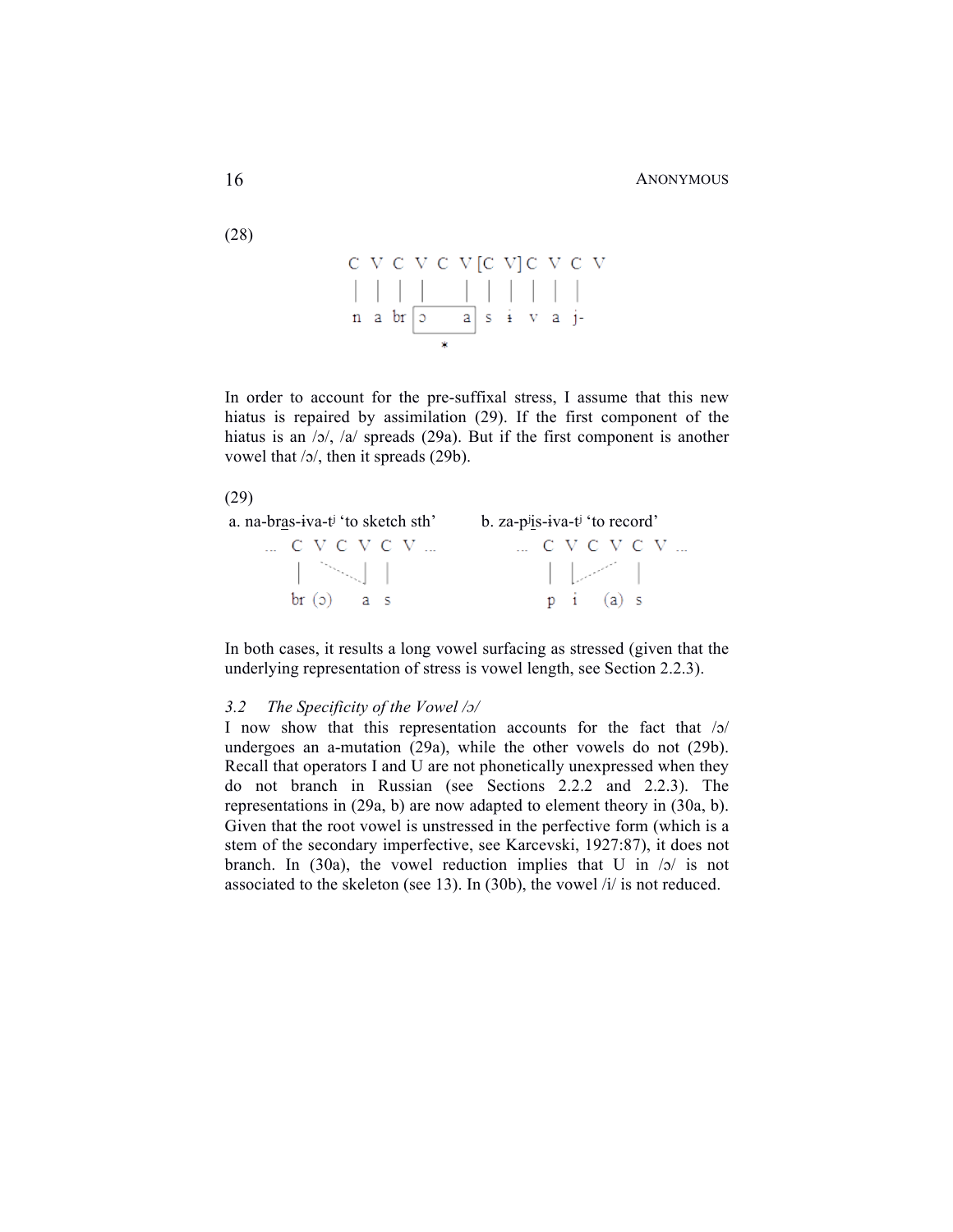In order to account for the pre-suffixal stress, I assume that this new hiatus is repaired by assimilation (29). If the first component of the hiatus is an  $/5/$ ,  $/a/$  spreads (29a). But if the first component is another vowel that /ɔ/, then it spreads (29b).





In both cases, it results a long vowel surfacing as stressed (given that the underlying representation of stress is vowel length, see Section 2.2.3).

#### *3.2 The Specificity of the Vowel /ɔ/*

I now show that this representation accounts for the fact that /ɔ/ undergoes an a-mutation (29a), while the other vowels do not (29b). Recall that operators I and U are not phonetically unexpressed when they do not branch in Russian (see Sections 2.2.2 and 2.2.3). The representations in (29a, b) are now adapted to element theory in (30a, b). Given that the root vowel is unstressed in the perfective form (which is a stem of the secondary imperfective, see Karcevski, 1927:87), it does not branch. In (30a), the vowel reduction implies that U in  $/5/$  is not associated to the skeleton (see 13). In (30b), the vowel /i/ is not reduced.

(28)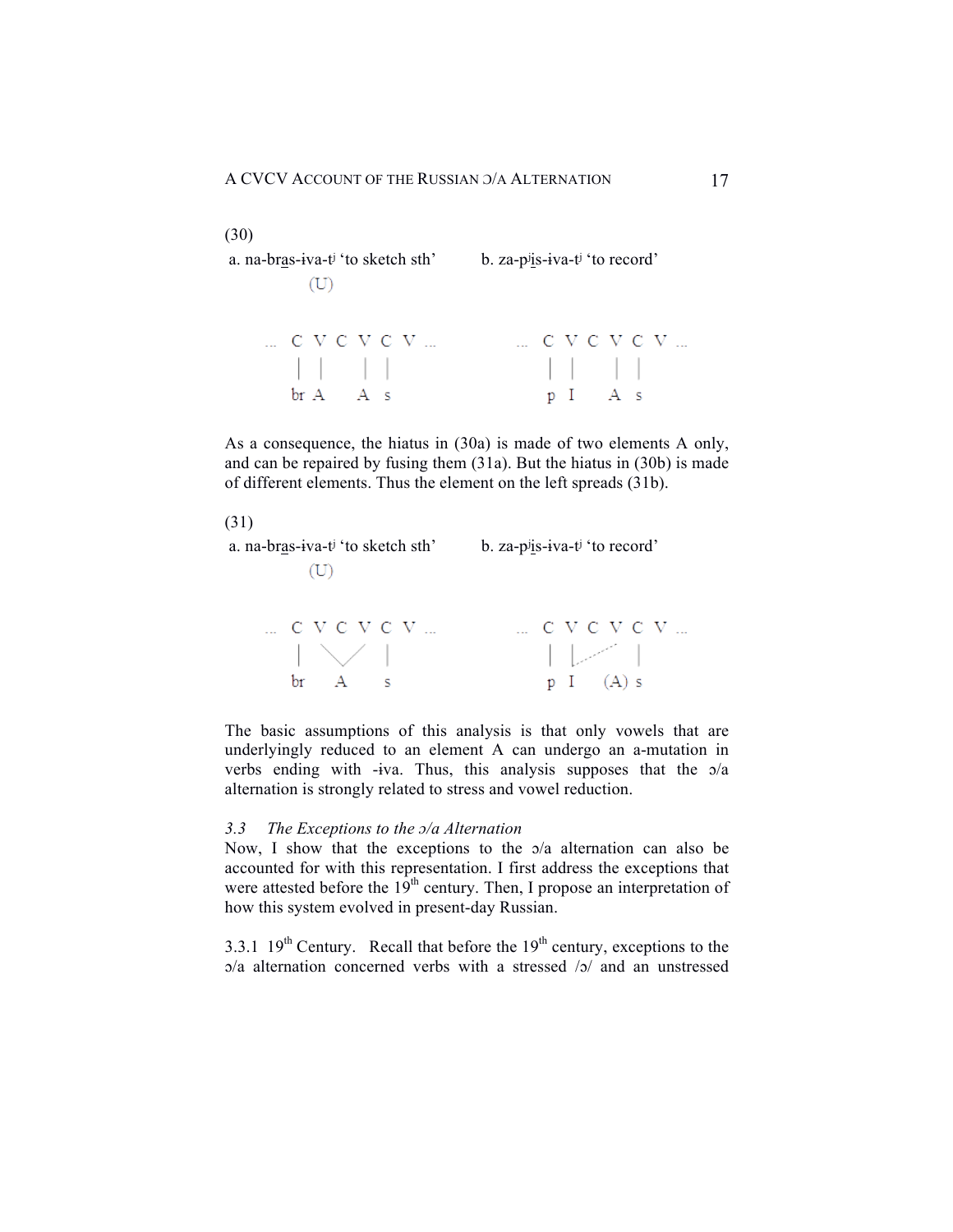| (30)<br>a. na-bras-iva-t <sup>j</sup> 'to sketch sth'<br>(U)                                                                                                                                                                                                                                                        | b. za-pijs-iva-ti 'to record' |
|---------------------------------------------------------------------------------------------------------------------------------------------------------------------------------------------------------------------------------------------------------------------------------------------------------------------|-------------------------------|
| C V C V C V                                                                                                                                                                                                                                                                                                         | $\ldots$ C V C V C V $\ldots$ |
| $\frac{1}{2}$ $\frac{1}{2}$ $\frac{1}{2}$ $\frac{1}{2}$ $\frac{1}{2}$ $\frac{1}{2}$ $\frac{1}{2}$ $\frac{1}{2}$ $\frac{1}{2}$ $\frac{1}{2}$ $\frac{1}{2}$ $\frac{1}{2}$ $\frac{1}{2}$ $\frac{1}{2}$ $\frac{1}{2}$ $\frac{1}{2}$ $\frac{1}{2}$ $\frac{1}{2}$ $\frac{1}{2}$ $\frac{1}{2}$ $\frac{1}{2}$ $\frac{1}{2}$ | p I A s                       |

As a consequence, the hiatus in (30a) is made of two elements A only, and can be repaired by fusing them (31a). But the hiatus in (30b) is made of different elements. Thus the element on the left spreads (31b).

(31)

a. na-bras-ɨva-tʲ 'to sketch sth' b. za-pʲis-ɨva-tʲ 'to record'  $(U)$ 



The basic assumptions of this analysis is that only vowels that are underlyingly reduced to an element A can undergo an a-mutation in verbs ending with -ɨva. Thus, this analysis supposes that the ɔ/a alternation is strongly related to stress and vowel reduction.

## *3.3 The Exceptions to the ɔ/a Alternation*

Now, I show that the exceptions to the ɔ/a alternation can also be accounted for with this representation. I first address the exceptions that were attested before the  $19<sup>th</sup>$  century. Then, I propose an interpretation of how this system evolved in present-day Russian.

3.3.1  $19^{th}$  Century. Recall that before the  $19^{th}$  century, exceptions to the  $a/a$  alternation concerned verbs with a stressed  $\sqrt{a}$  and an unstressed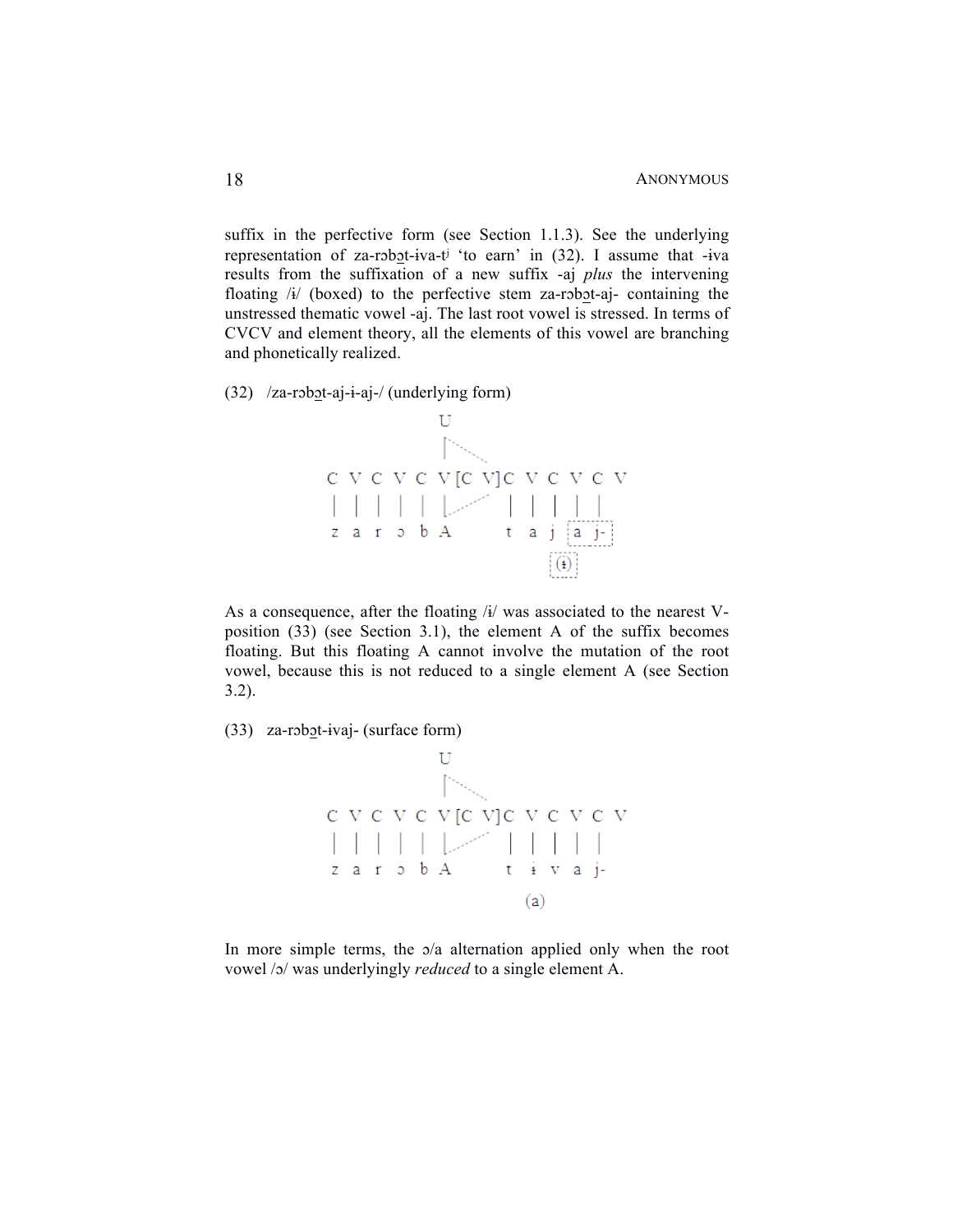suffix in the perfective form (see Section 1.1.3). See the underlying representation of za-robot-iva-t<sup>j</sup> 'to earn' in (32). I assume that -iva results from the suffixation of a new suffix -aj *plus* the intervening floating  $\lambda i$  (boxed) to the perfective stem za-robot-aj- containing the unstressed thematic vowel -aj. The last root vowel is stressed. In terms of CVCV and element theory, all the elements of this vowel are branching and phonetically realized.

(32) /za-rɔbɔt-aj-ɨ-aj-/ (underlying form)



As a consequence, after the floating  $\lambda$  was associated to the nearest Vposition (33) (see Section 3.1), the element A of the suffix becomes floating. But this floating A cannot involve the mutation of the root vowel, because this is not reduced to a single element A (see Section 3.2).

 $(33)$  za-robot-ivaj- (surface form)



In more simple terms, the  $\sigma/a$  alternation applied only when the root vowel /ɔ/ was underlyingly *reduced* to a single element A.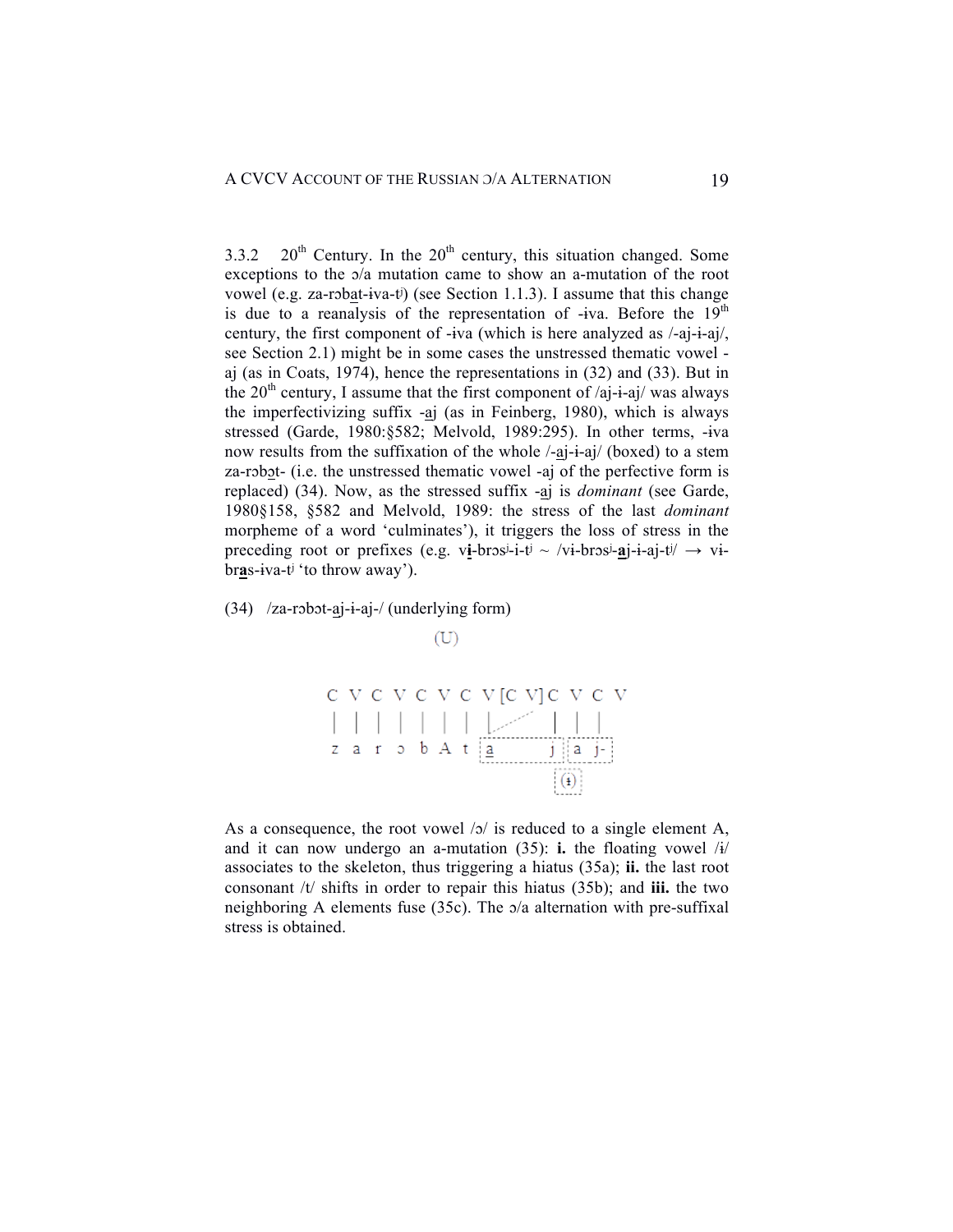3.3.2 20<sup>th</sup> Century. In the  $20<sup>th</sup>$  century, this situation changed. Some exceptions to the ɔ/a mutation came to show an a-mutation of the root vowel (e.g. za-rɔbat-ɨva-tʲ) (see Section 1.1.3). I assume that this change is due to a reanalysis of the representation of  $-iva$ . Before the 19<sup>th</sup> century, the first component of -ɨva (which is here analyzed as /-aj-ɨ-aj/, see Section 2.1) might be in some cases the unstressed thematic vowel aj (as in Coats, 1974), hence the representations in (32) and (33). But in the  $20<sup>th</sup>$  century, I assume that the first component of /aj-i-aj/ was always the imperfectivizing suffix -aj (as in Feinberg, 1980), which is always stressed (Garde, 1980:§582; Melvold, 1989:295). In other terms, -ɨva now results from the suffixation of the whole /-aj-ɨ-aj/ (boxed) to a stem za-rɔbɔt- (i.e. the unstressed thematic vowel -aj of the perfective form is replaced) (34). Now, as the stressed suffix -aj is *dominant* (see Garde, 1980§158, §582 and Melvold, 1989: the stress of the last *dominant* morpheme of a word 'culminates'), it triggers the loss of stress in the preceding root or prefixes (e.g. vi-bros<sup>j</sup>-i-t<sup>j</sup> ~ /vi-bros<sup>j</sup>-aj-i-aj-t<sup>j</sup>/  $\rightarrow$  vibr**a**s-ɨva-tʲ 'to throw away').

(34) /za-rɔbɔt-aj-ɨ-aj-/ (underlying form)





As a consequence, the root vowel /ɔ/ is reduced to a single element A, and it can now undergo an a-mutation  $(35)$ : **i.** the floating vowel  $\frac{1}{4}$ associates to the skeleton, thus triggering a hiatus (35a); **ii.** the last root consonant /t/ shifts in order to repair this hiatus (35b); and **iii.** the two neighboring A elements fuse (35c). The ɔ/a alternation with pre-suffixal stress is obtained.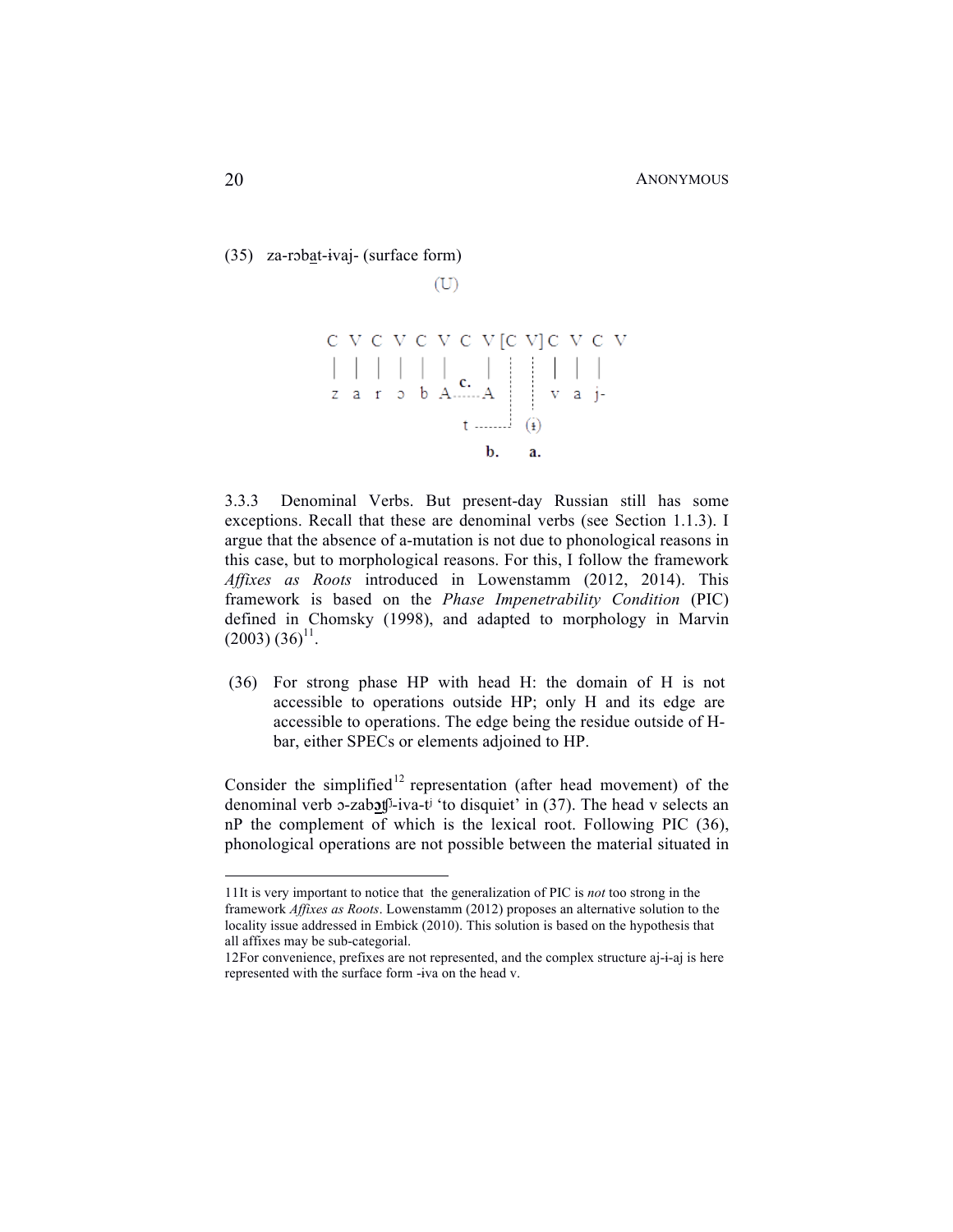```
(35) za-rɔbat-ɨvaj- (surface form)
```
 $(U)$ 

3.3.3 Denominal Verbs. But present-day Russian still has some exceptions. Recall that these are denominal verbs (see Section 1.1.3). I argue that the absence of a-mutation is not due to phonological reasons in this case, but to morphological reasons. For this, I follow the framework *Affixes as Roots* introduced in Lowenstamm (2012, 2014). This framework is based on the *Phase Impenetrability Condition* (PIC) defined in Chomsky (1998), and adapted to morphology in Marvin  $(2003) (36)^{11}$ .

(36) For strong phase HP with head H: the domain of H is not accessible to operations outside HP; only H and its edge are accessible to operations. The edge being the residue outside of Hbar, either SPECs or elements adjoined to HP.

Consider the simplified<sup>12</sup> representation (after head movement) of the denominal verb ɔ-zab**ɔ**ʧʲ-iva-tʲ 'to disquiet' in (37). The head v selects an nP the complement of which is the lexical root. Following PIC (36), phonological operations are not possible between the material situated in

 <sup>11</sup>It is very important to notice that the generalization of PIC is *not* too strong in the framework *Affixes as Roots*. Lowenstamm (2012) proposes an alternative solution to the locality issue addressed in Embick (2010). This solution is based on the hypothesis that all affixes may be sub-categorial.

<sup>12</sup>For convenience, prefixes are not represented, and the complex structure aj-ɨ-aj is here represented with the surface form -ɨva on the head v.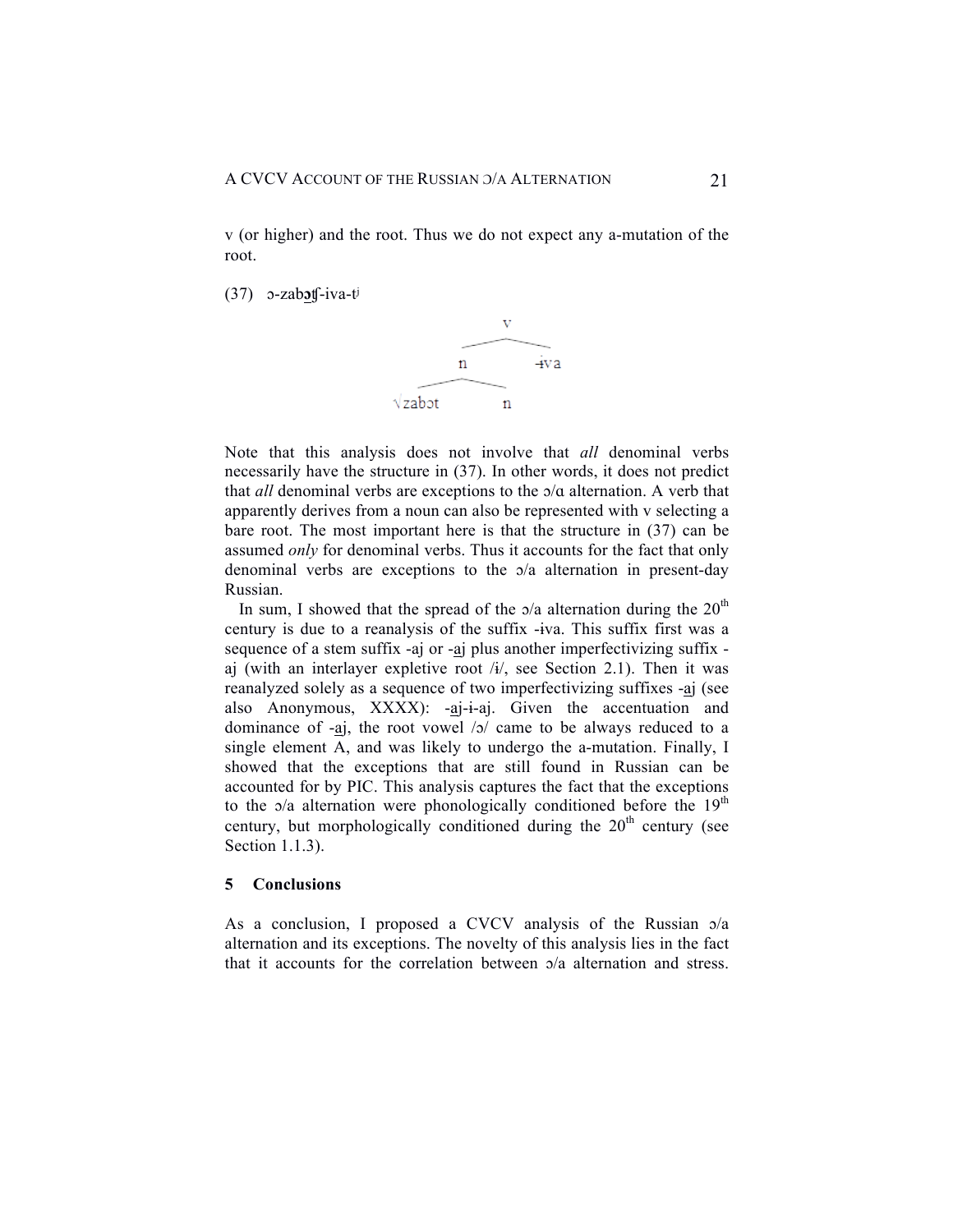v (or higher) and the root. Thus we do not expect any a-mutation of the root.

(37) ɔ-zab**ɔ**ʧ-iva-tʲ



Note that this analysis does not involve that *all* denominal verbs necessarily have the structure in (37). In other words, it does not predict that *all* denominal verbs are exceptions to the ɔ/ɑ alternation. A verb that apparently derives from a noun can also be represented with v selecting a bare root. The most important here is that the structure in (37) can be assumed *only* for denominal verbs. Thus it accounts for the fact that only denominal verbs are exceptions to the ɔ/a alternation in present-day Russian.

In sum, I showed that the spread of the  $a/a$  alternation during the  $20<sup>th</sup>$ century is due to a reanalysis of the suffix -ɨva. This suffix first was a sequence of a stem suffix -aj or -aj plus another imperfectivizing suffix aj (with an interlayer expletive root  $/i$ , see Section 2.1). Then it was reanalyzed solely as a sequence of two imperfectivizing suffixes -aj (see also Anonymous,  $XXXX$ :  $-aj-i-aj$ . Given the accentuation and dominance of  $-aj$ , the root vowel  $\sqrt{2}$  came to be always reduced to a single element A, and was likely to undergo the a-mutation. Finally, I showed that the exceptions that are still found in Russian can be accounted for by PIC. This analysis captures the fact that the exceptions to the  $\alpha/a$  alternation were phonologically conditioned before the 19<sup>th</sup> century, but morphologically conditioned during the  $20<sup>th</sup>$  century (see Section 1.1.3).

## **5 Conclusions**

As a conclusion, I proposed a CVCV analysis of the Russian  $\alpha/a$ alternation and its exceptions. The novelty of this analysis lies in the fact that it accounts for the correlation between ɔ/a alternation and stress.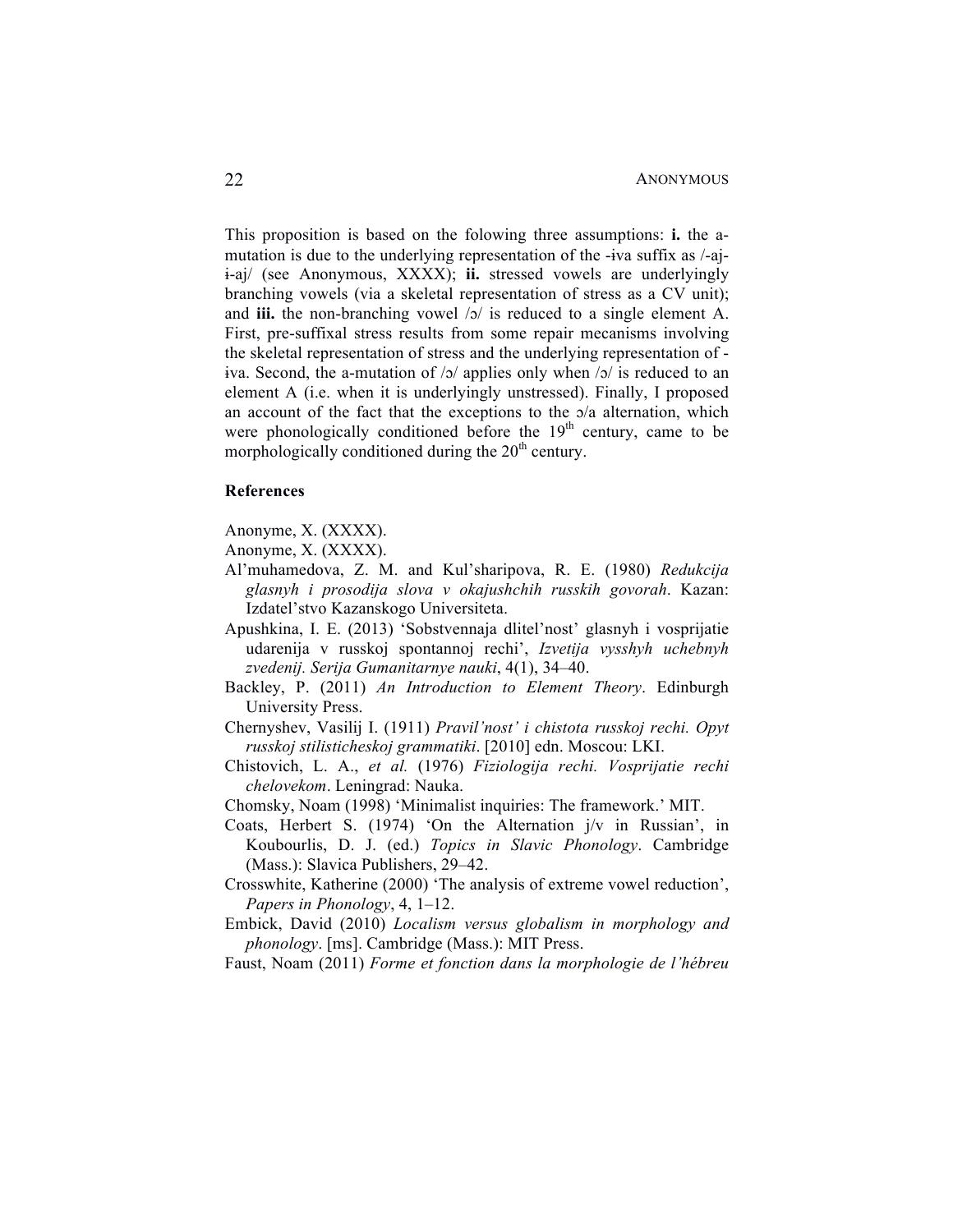This proposition is based on the folowing three assumptions: **i.** the amutation is due to the underlying representation of the -ɨva suffix as /-ajɨ-aj/ (see Anonymous, XXXX); **ii.** stressed vowels are underlyingly branching vowels (via a skeletal representation of stress as a CV unit); and **iii.** the non-branching vowel /ɔ/ is reduced to a single element A. First, pre-suffixal stress results from some repair mecanisms involving the skeletal representation of stress and the underlying representation of iva. Second, the a-mutation of  $/2/$  applies only when  $/2/$  is reduced to an element A (i.e. when it is underlyingly unstressed). Finally, I proposed an account of the fact that the exceptions to the ɔ/a alternation, which were phonologically conditioned before the  $19<sup>th</sup>$  century, came to be morphologically conditioned during the  $20<sup>th</sup>$  century.

#### **References**

Anonyme, X. (XXXX).

Anonyme, X. (XXXX).

- Al'muhamedova, Z. M. and Kul'sharipova, R. E. (1980) *Redukcija glasnyh i prosodija slova v okajushchih russkih govorah*. Kazan: Izdatel'stvo Kazanskogo Universiteta.
- Apushkina, I. E. (2013) 'Sobstvennaja dlitel'nost' glasnyh i vosprijatie udarenija v russkoj spontannoj rechi', *Izvetija vysshyh uchebnyh zvedenij. Serija Gumanitarnye nauki*, 4(1), 34–40.
- Backley, P. (2011) *An Introduction to Element Theory*. Edinburgh University Press.
- Chernyshev, Vasilij I. (1911) *Pravil'nost' i chistota russkoj rechi. Opyt russkoj stilisticheskoj grammatiki*. [2010] edn. Moscou: LKI.
- Chistovich, L. A., *et al.* (1976) *Fiziologija rechi. Vosprijatie rechi chelovekom*. Leningrad: Nauka.
- Chomsky, Noam (1998) 'Minimalist inquiries: The framework.' MIT.
- Coats, Herbert S. (1974) 'On the Alternation j/v in Russian', in Koubourlis, D. J. (ed.) *Topics in Slavic Phonology*. Cambridge (Mass.): Slavica Publishers, 29–42.
- Crosswhite, Katherine (2000) 'The analysis of extreme vowel reduction', *Papers in Phonology*, 4, 1–12.
- Embick, David (2010) *Localism versus globalism in morphology and phonology*. [ms]. Cambridge (Mass.): MIT Press.
- Faust, Noam (2011) *Forme et fonction dans la morphologie de l'hébreu*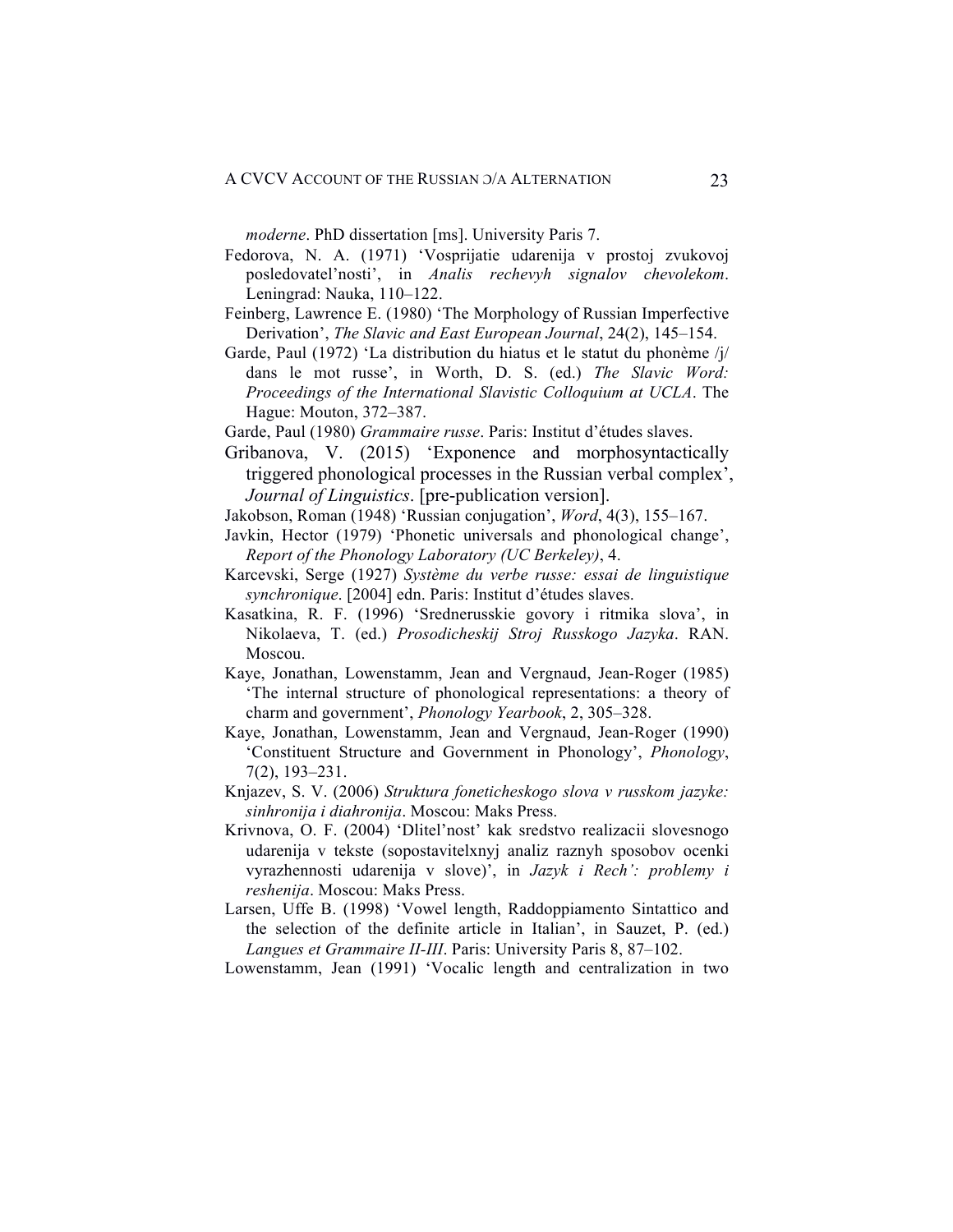*moderne*. PhD dissertation [ms]. University Paris 7.

- Fedorova, N. A. (1971) 'Vosprijatie udarenija v prostoj zvukovoj posledovatel'nosti', in *Analis rechevyh signalov chevolekom*. Leningrad: Nauka, 110–122.
- Feinberg, Lawrence E. (1980) 'The Morphology of Russian Imperfective Derivation', *The Slavic and East European Journal*, 24(2), 145–154.
- Garde, Paul (1972) 'La distribution du hiatus et le statut du phonème /j/ dans le mot russe', in Worth, D. S. (ed.) *The Slavic Word: Proceedings of the International Slavistic Colloquium at UCLA*. The Hague: Mouton, 372–387.
- Garde, Paul (1980) *Grammaire russe*. Paris: Institut d'études slaves.
- Gribanova, V. (2015) 'Exponence and morphosyntactically triggered phonological processes in the Russian verbal complex', *Journal of Linguistics*. [pre-publication version].
- Jakobson, Roman (1948) 'Russian conjugation', *Word*, 4(3), 155–167.
- Javkin, Hector (1979) 'Phonetic universals and phonological change', *Report of the Phonology Laboratory (UC Berkeley)*, 4.
- Karcevski, Serge (1927) *Système du verbe russe: essai de linguistique synchronique*. [2004] edn. Paris: Institut d'études slaves.
- Kasatkina, R. F. (1996) 'Srednerusskie govory i ritmika slova', in Nikolaeva, T. (ed.) *Prosodicheskij Stroj Russkogo Jazyka*. RAN. Moscou.
- Kaye, Jonathan, Lowenstamm, Jean and Vergnaud, Jean-Roger (1985) 'The internal structure of phonological representations: a theory of charm and government', *Phonology Yearbook*, 2, 305–328.
- Kaye, Jonathan, Lowenstamm, Jean and Vergnaud, Jean-Roger (1990) 'Constituent Structure and Government in Phonology', *Phonology*, 7(2), 193–231.
- Knjazev, S. V. (2006) *Struktura foneticheskogo slova v russkom jazyke: sinhronija i diahronija*. Moscou: Maks Press.
- Krivnova, O. F. (2004) 'Dlitel'nost' kak sredstvo realizacii slovesnogo udarenija v tekste (sopostavitelxnyj analiz raznyh sposobov ocenki vyrazhennosti udarenija v slove)', in *Jazyk i Rech': problemy i reshenija*. Moscou: Maks Press.
- Larsen, Uffe B. (1998) 'Vowel length, Raddoppiamento Sintattico and the selection of the definite article in Italian', in Sauzet, P. (ed.) *Langues et Grammaire II-III*. Paris: University Paris 8, 87–102.

Lowenstamm, Jean (1991) 'Vocalic length and centralization in two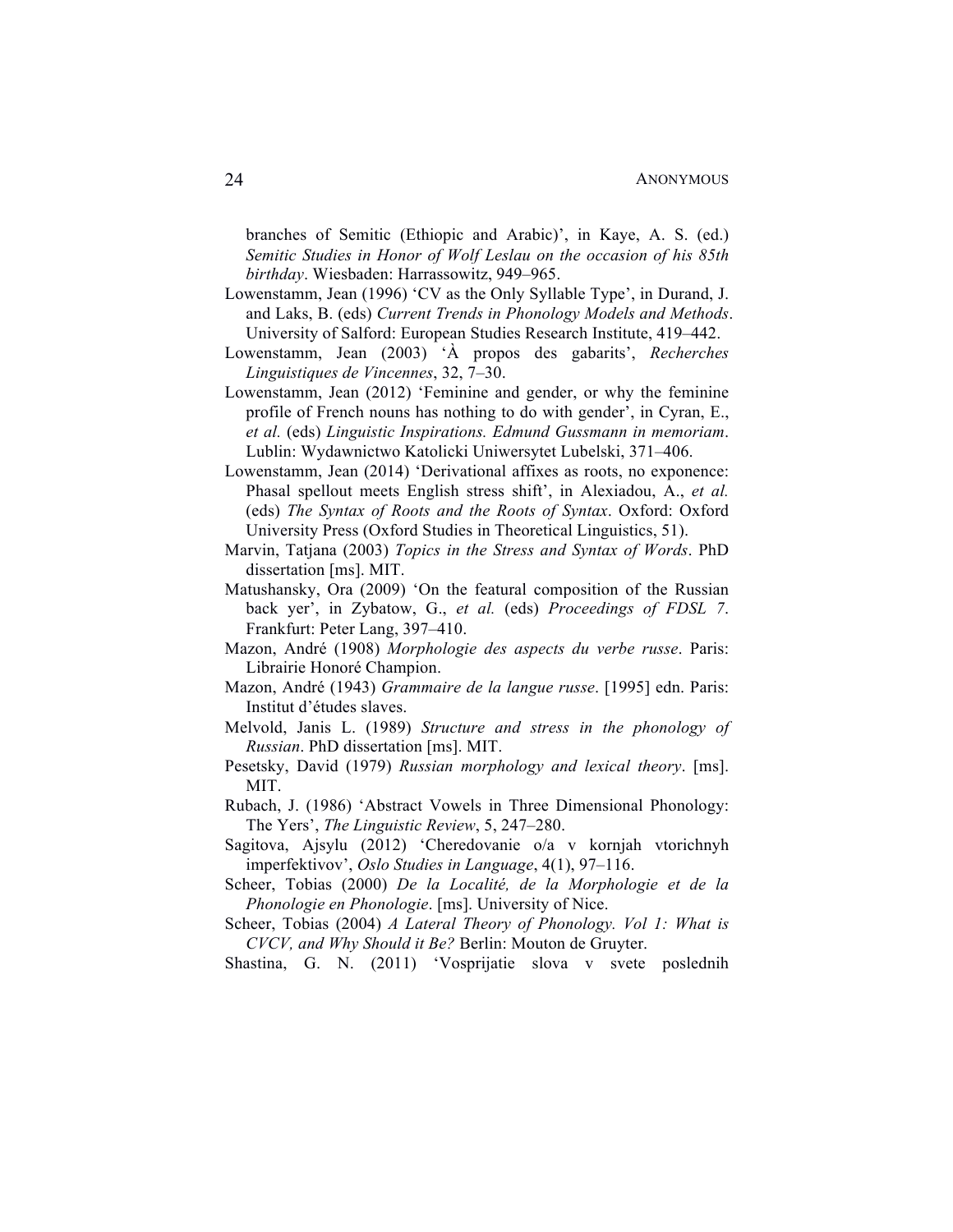branches of Semitic (Ethiopic and Arabic)', in Kaye, A. S. (ed.) *Semitic Studies in Honor of Wolf Leslau on the occasion of his 85th birthday*. Wiesbaden: Harrassowitz, 949–965.

- Lowenstamm, Jean (1996) 'CV as the Only Syllable Type', in Durand, J. and Laks, B. (eds) *Current Trends in Phonology Models and Methods*. University of Salford: European Studies Research Institute, 419–442.
- Lowenstamm, Jean (2003) 'À propos des gabarits', *Recherches Linguistiques de Vincennes*, 32, 7–30.
- Lowenstamm, Jean (2012) 'Feminine and gender, or why the feminine profile of French nouns has nothing to do with gender', in Cyran, E., *et al.* (eds) *Linguistic Inspirations. Edmund Gussmann in memoriam*. Lublin: Wydawnictwo Katolicki Uniwersytet Lubelski, 371–406.
- Lowenstamm, Jean (2014) 'Derivational affixes as roots, no exponence: Phasal spellout meets English stress shift', in Alexiadou, A., *et al.* (eds) *The Syntax of Roots and the Roots of Syntax*. Oxford: Oxford University Press (Oxford Studies in Theoretical Linguistics, 51).
- Marvin, Tatjana (2003) *Topics in the Stress and Syntax of Words*. PhD dissertation [ms]. MIT.
- Matushansky, Ora (2009) 'On the featural composition of the Russian back yer', in Zybatow, G., *et al.* (eds) *Proceedings of FDSL 7*. Frankfurt: Peter Lang, 397–410.
- Mazon, André (1908) *Morphologie des aspects du verbe russe*. Paris: Librairie Honoré Champion.
- Mazon, André (1943) *Grammaire de la langue russe*. [1995] edn. Paris: Institut d'études slaves.
- Melvold, Janis L. (1989) *Structure and stress in the phonology of Russian*. PhD dissertation [ms]. MIT.
- Pesetsky, David (1979) *Russian morphology and lexical theory*. [ms]. MIT.
- Rubach, J. (1986) 'Abstract Vowels in Three Dimensional Phonology: The Yers', *The Linguistic Review*, 5, 247–280.
- Sagitova, Ajsylu (2012) 'Cheredovanie o/a v kornjah vtorichnyh imperfektivov', *Oslo Studies in Language*, 4(1), 97–116.
- Scheer, Tobias (2000) *De la Localité, de la Morphologie et de la Phonologie en Phonologie*. [ms]. University of Nice.

Scheer, Tobias (2004) *A Lateral Theory of Phonology. Vol 1: What is CVCV, and Why Should it Be?* Berlin: Mouton de Gruyter.

Shastina, G. N. (2011) 'Vosprijatie slova v svete poslednih